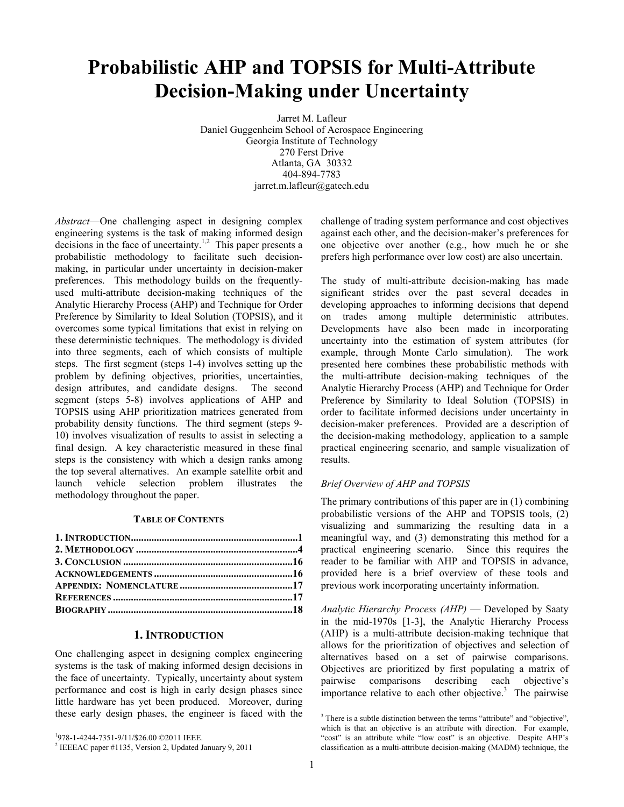# **Probabilistic AHP and TOPSIS for Multi-Attribute Decision-Making under Uncertainty**

Jarret M. Lafleur Daniel Guggenheim School of Aerospace Engineering Georgia Institute of Technology 270 Ferst Drive Atlanta, GA 30332 404-894-7783 jarret.m.lafleur@gatech.edu

*Abstract*—One challenging aspect in designing complex engineering systems is the task of making informed design decisions in the face of uncertainty.<sup>1,2</sup> This paper presents a probabilistic methodology to facilitate such decisionmaking, in particular under uncertainty in decision-maker preferences. This methodology builds on the frequentlyused multi-attribute decision-making techniques of the Analytic Hierarchy Process (AHP) and Technique for Order Preference by Similarity to Ideal Solution (TOPSIS), and it overcomes some typical limitations that exist in relying on these deterministic techniques. The methodology is divided into three segments, each of which consists of multiple steps. The first segment (steps 1-4) involves setting up the problem by defining objectives, priorities, uncertainties, design attributes, and candidate designs. The second segment (steps 5-8) involves applications of AHP and TOPSIS using AHP prioritization matrices generated from probability density functions. The third segment (steps 9- 10) involves visualization of results to assist in selecting a final design. A key characteristic measured in these final steps is the consistency with which a design ranks among the top several alternatives. An example satellite orbit and launch vehicle selection problem illustrates the methodology throughout the paper.

## **TABLE OF CONTENTS**

## **1. INTRODUCTION**

One challenging aspect in designing complex engineering systems is the task of making informed design decisions in the face of uncertainty. Typically, uncertainty about system performance and cost is high in early design phases since little hardware has yet been produced. Moreover, during these early design phases, the engineer is faced with the challenge of trading system performance and cost objectives against each other, and the decision-maker's preferences for one objective over another (e.g., how much he or she prefers high performance over low cost) are also uncertain.

The study of multi-attribute decision-making has made significant strides over the past several decades in developing approaches to informing decisions that depend on trades among multiple deterministic attributes. Developments have also been made in incorporating uncertainty into the estimation of system attributes (for example, through Monte Carlo simulation). The work presented here combines these probabilistic methods with the multi-attribute decision-making techniques of the Analytic Hierarchy Process (AHP) and Technique for Order Preference by Similarity to Ideal Solution (TOPSIS) in order to facilitate informed decisions under uncertainty in decision-maker preferences. Provided are a description of the decision-making methodology, application to a sample practical engineering scenario, and sample visualization of results.

# *Brief Overview of AHP and TOPSIS*

The primary contributions of this paper are in (1) combining probabilistic versions of the AHP and TOPSIS tools, (2) visualizing and summarizing the resulting data in a meaningful way, and (3) demonstrating this method for a practical engineering scenario. Since this requires the reader to be familiar with AHP and TOPSIS in advance, provided here is a brief overview of these tools and previous work incorporating uncertainty information.

*Analytic Hierarchy Process (AHP)* — Developed by Saaty in the mid-1970s [1-3], the Analytic Hierarchy Process (AHP) is a multi-attribute decision-making technique that allows for the prioritization of objectives and selection of alternatives based on a set of pairwise comparisons. Objectives are prioritized by first populating a matrix of pairwise comparisons describing each objective's importance relative to each other objective.<sup>3</sup> The pairwise

<sup>&</sup>lt;sup>1</sup>978-1-4244-7351-9/11/\$26.00 ©2011 IEEE.

<sup>&</sup>lt;sup>1</sup>978-1-4244-7351-9/11/\$26.00 ©2011 IEEE.<br><sup>2</sup> IEEEAC paper #1135, Version 2, Updated January 9, 2011

<sup>&</sup>lt;sup>3</sup> There is a subtle distinction between the terms "attribute" and "objective", which is that an objective is an attribute with direction. For example, "cost" is an attribute while "low cost" is an objective. Despite AHP's classification as a multi-attribute decision-making (MADM) technique, the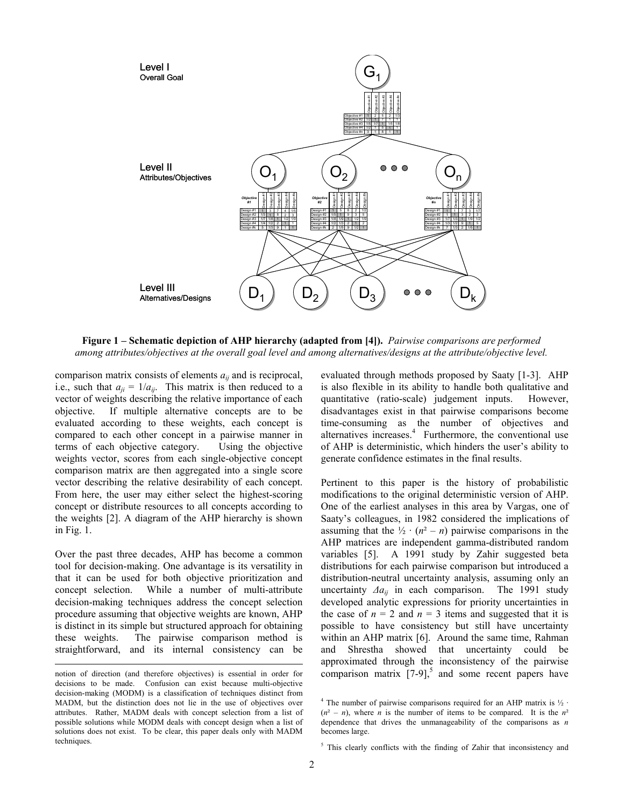

**Figure 1 – Schematic depiction of AHP hierarchy (adapted from [4]).** *Pairwise comparisons are performed among attributes/objectives at the overall goal level and among alternatives/designs at the attribute/objective level.*

comparison matrix consists of elements *aij* and is reciprocal, i.e., such that  $a_{ji} = 1/a_{ij}$ . This matrix is then reduced to a vector of weights describing the relative importance of each objective. If multiple alternative concepts are to be evaluated according to these weights, each concept is compared to each other concept in a pairwise manner in terms of each objective category. Using the objective weights vector, scores from each single-objective concept comparison matrix are then aggregated into a single score vector describing the relative desirability of each concept. From here, the user may either select the highest-scoring concept or distribute resources to all concepts according to the weights [2]. A diagram of the AHP hierarchy is shown in Fig. 1.

Over the past three decades, AHP has become a common tool for decision-making. One advantage is its versatility in that it can be used for both objective prioritization and concept selection. While a number of multi-attribute decision-making techniques address the concept selection procedure assuming that objective weights are known, AHP is distinct in its simple but structured approach for obtaining these weights. The pairwise comparison method is straightforward, and its internal consistency can be

 $\overline{a}$ 

evaluated through methods proposed by Saaty [1-3]. AHP is also flexible in its ability to handle both qualitative and quantitative (ratio-scale) judgement inputs. However, disadvantages exist in that pairwise comparisons become time-consuming as the number of objectives and alternatives increases. $4$  Furthermore, the conventional use of AHP is deterministic, which hinders the user's ability to generate confidence estimates in the final results.

Pertinent to this paper is the history of probabilistic modifications to the original deterministic version of AHP. One of the earliest analyses in this area by Vargas, one of Saaty's colleagues, in 1982 considered the implications of assuming that the  $\frac{1}{2} \cdot (n^2 - n)$  pairwise comparisons in the AHP matrices are independent gamma-distributed random variables [5]. A 1991 study by Zahir suggested beta distributions for each pairwise comparison but introduced a distribution-neutral uncertainty analysis, assuming only an uncertainty *Δaij* in each comparison. The 1991 study developed analytic expressions for priority uncertainties in the case of  $n = 2$  and  $n = 3$  items and suggested that it is possible to have consistency but still have uncertainty within an AHP matrix [6]. Around the same time, Rahman and Shrestha showed that uncertainty could be approximated through the inconsistency of the pairwise comparison matrix  $[7-9]$ <sup>5</sup> and some recent papers have

notion of direction (and therefore objectives) is essential in order for decisions to be made. Confusion can exist because multi-objective decision-making (MODM) is a classification of techniques distinct from MADM, but the distinction does not lie in the use of objectives over attributes. Rather, MADM deals with concept selection from a list of possible solutions while MODM deals with concept design when a list of solutions does not exist. To be clear, this paper deals only with MADM techniques.

<sup>&</sup>lt;sup>4</sup> The number of pairwise comparisons required for an AHP matrix is  $\frac{1}{2}$ .  $(n^2 - n)$ , where *n* is the number of items to be compared. It is the  $n^2$ dependence that drives the unmanageability of the comparisons as *n* becomes large.

<sup>&</sup>lt;sup>5</sup> This clearly conflicts with the finding of Zahir that inconsistency and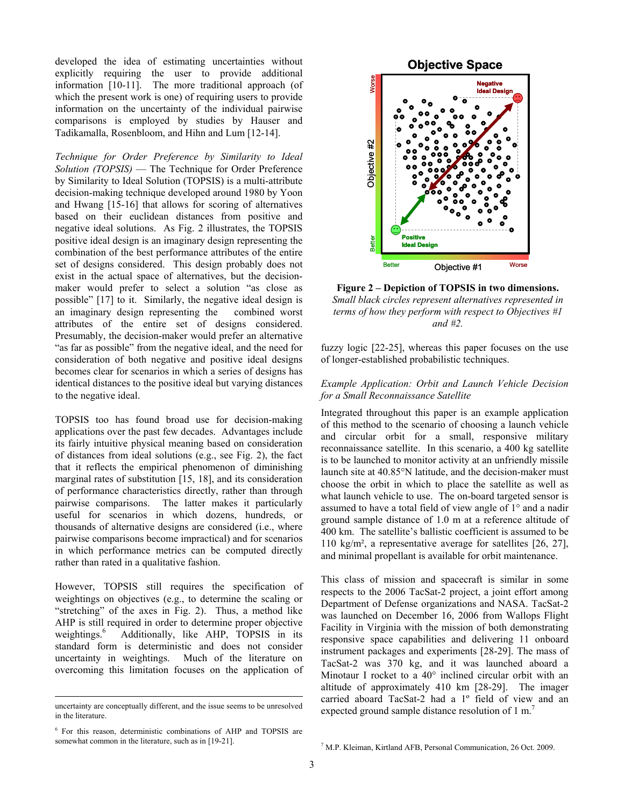developed the idea of estimating uncertainties without explicitly requiring the user to provide additional information [10-11]. The more traditional approach (of which the present work is one) of requiring users to provide information on the uncertainty of the individual pairwise comparisons is employed by studies by Hauser and Tadikamalla, Rosenbloom, and Hihn and Lum [12-14].

*Technique for Order Preference by Similarity to Ideal Solution (TOPSIS)* — The Technique for Order Preference by Similarity to Ideal Solution (TOPSIS) is a multi-attribute decision-making technique developed around 1980 by Yoon and Hwang [15-16] that allows for scoring of alternatives based on their euclidean distances from positive and negative ideal solutions. As Fig. 2 illustrates, the TOPSIS positive ideal design is an imaginary design representing the combination of the best performance attributes of the entire set of designs considered. This design probably does not exist in the actual space of alternatives, but the decisionmaker would prefer to select a solution "as close as possible" [17] to it. Similarly, the negative ideal design is an imaginary design representing the combined worst attributes of the entire set of designs considered. Presumably, the decision-maker would prefer an alternative "as far as possible" from the negative ideal, and the need for consideration of both negative and positive ideal designs becomes clear for scenarios in which a series of designs has identical distances to the positive ideal but varying distances to the negative ideal.

TOPSIS too has found broad use for decision-making applications over the past few decades. Advantages include its fairly intuitive physical meaning based on consideration of distances from ideal solutions (e.g., see Fig. 2), the fact that it reflects the empirical phenomenon of diminishing marginal rates of substitution [15, 18], and its consideration of performance characteristics directly, rather than through pairwise comparisons. The latter makes it particularly useful for scenarios in which dozens, hundreds, or thousands of alternative designs are considered (i.e., where pairwise comparisons become impractical) and for scenarios in which performance metrics can be computed directly rather than rated in a qualitative fashion.

However, TOPSIS still requires the specification of weightings on objectives (e.g., to determine the scaling or "stretching" of the axes in Fig. 2). Thus, a method like AHP is still required in order to determine proper objective weightings.<sup>6</sup> Additionally, like AHP, TOPSIS in its standard form is deterministic and does not consider uncertainty in weightings. Much of the literature on overcoming this limitation focuses on the application of

-



**Figure 2 – Depiction of TOPSIS in two dimensions.**  *Small black circles represent alternatives represented in terms of how they perform with respect to Objectives #1 and #2.*

fuzzy logic [22-25], whereas this paper focuses on the use of longer-established probabilistic techniques.

# *Example Application: Orbit and Launch Vehicle Decision for a Small Reconnaissance Satellite*

Integrated throughout this paper is an example application of this method to the scenario of choosing a launch vehicle and circular orbit for a small, responsive military reconnaissance satellite. In this scenario, a 400 kg satellite is to be launched to monitor activity at an unfriendly missile launch site at 40.85°N latitude, and the decision-maker must choose the orbit in which to place the satellite as well as what launch vehicle to use. The on-board targeted sensor is assumed to have a total field of view angle of 1° and a nadir ground sample distance of 1.0 m at a reference altitude of 400 km. The satellite's ballistic coefficient is assumed to be 110 kg/m², a representative average for satellites [26, 27], and minimal propellant is available for orbit maintenance.

This class of mission and spacecraft is similar in some respects to the 2006 TacSat-2 project, a joint effort among Department of Defense organizations and NASA. TacSat-2 was launched on December 16, 2006 from Wallops Flight Facility in Virginia with the mission of both demonstrating responsive space capabilities and delivering 11 onboard instrument packages and experiments [28-29]. The mass of TacSat-2 was 370 kg, and it was launched aboard a Minotaur I rocket to a 40° inclined circular orbit with an altitude of approximately 410 km [28-29]. The imager carried aboard TacSat-2 had a 1º field of view and an expected ground sample distance resolution of 1 m.<sup>7</sup>

uncertainty are conceptually different, and the issue seems to be unresolved in the literature.

<sup>6</sup> For this reason, deterministic combinations of AHP and TOPSIS are somewhat common in the literature, such as in [19-21].

<sup>7</sup> M.P. Kleiman, Kirtland AFB, Personal Communication, 26 Oct. 2009.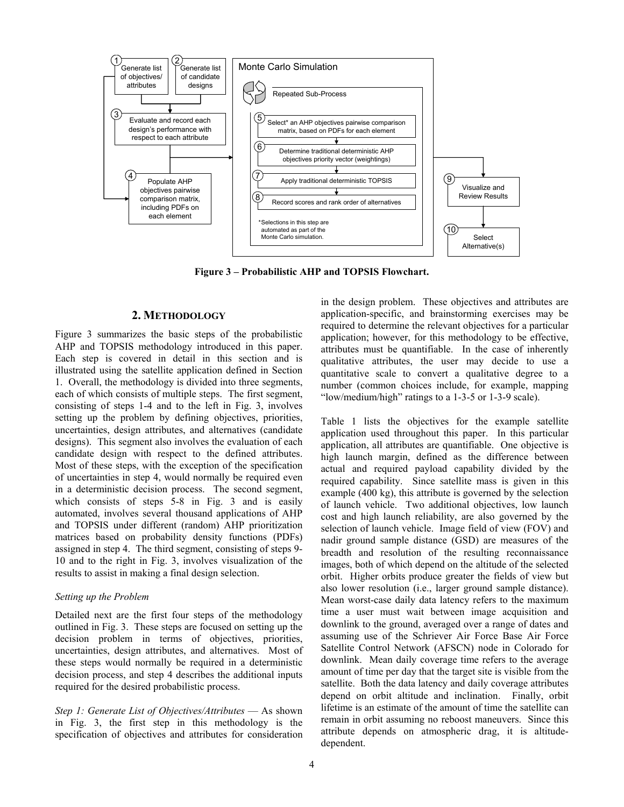

**Figure 3 – Probabilistic AHP and TOPSIS Flowchart.** 

# **2. METHODOLOGY**

Figure 3 summarizes the basic steps of the probabilistic AHP and TOPSIS methodology introduced in this paper. Each step is covered in detail in this section and is illustrated using the satellite application defined in Section 1. Overall, the methodology is divided into three segments, each of which consists of multiple steps. The first segment, consisting of steps 1-4 and to the left in Fig. 3, involves setting up the problem by defining objectives, priorities, uncertainties, design attributes, and alternatives (candidate designs). This segment also involves the evaluation of each candidate design with respect to the defined attributes. Most of these steps, with the exception of the specification of uncertainties in step 4, would normally be required even in a deterministic decision process. The second segment, which consists of steps 5-8 in Fig. 3 and is easily automated, involves several thousand applications of AHP and TOPSIS under different (random) AHP prioritization matrices based on probability density functions (PDFs) assigned in step 4. The third segment, consisting of steps 9- 10 and to the right in Fig. 3, involves visualization of the results to assist in making a final design selection.

#### *Setting up the Problem*

Detailed next are the first four steps of the methodology outlined in Fig. 3. These steps are focused on setting up the decision problem in terms of objectives, priorities, uncertainties, design attributes, and alternatives. Most of these steps would normally be required in a deterministic decision process, and step 4 describes the additional inputs required for the desired probabilistic process.

*Step 1: Generate List of Objectives/Attributes* — As shown in Fig. 3, the first step in this methodology is the specification of objectives and attributes for consideration in the design problem. These objectives and attributes are application-specific, and brainstorming exercises may be required to determine the relevant objectives for a particular application; however, for this methodology to be effective, attributes must be quantifiable. In the case of inherently qualitative attributes, the user may decide to use a quantitative scale to convert a qualitative degree to a number (common choices include, for example, mapping "low/medium/high" ratings to a 1-3-5 or 1-3-9 scale).

Table 1 lists the objectives for the example satellite application used throughout this paper. In this particular application, all attributes are quantifiable. One objective is high launch margin, defined as the difference between actual and required payload capability divided by the required capability. Since satellite mass is given in this example (400 kg), this attribute is governed by the selection of launch vehicle. Two additional objectives, low launch cost and high launch reliability, are also governed by the selection of launch vehicle. Image field of view (FOV) and nadir ground sample distance (GSD) are measures of the breadth and resolution of the resulting reconnaissance images, both of which depend on the altitude of the selected orbit. Higher orbits produce greater the fields of view but also lower resolution (i.e., larger ground sample distance). Mean worst-case daily data latency refers to the maximum time a user must wait between image acquisition and downlink to the ground, averaged over a range of dates and assuming use of the Schriever Air Force Base Air Force Satellite Control Network (AFSCN) node in Colorado for downlink. Mean daily coverage time refers to the average amount of time per day that the target site is visible from the satellite. Both the data latency and daily coverage attributes depend on orbit altitude and inclination. Finally, orbit lifetime is an estimate of the amount of time the satellite can remain in orbit assuming no reboost maneuvers. Since this attribute depends on atmospheric drag, it is altitudedependent.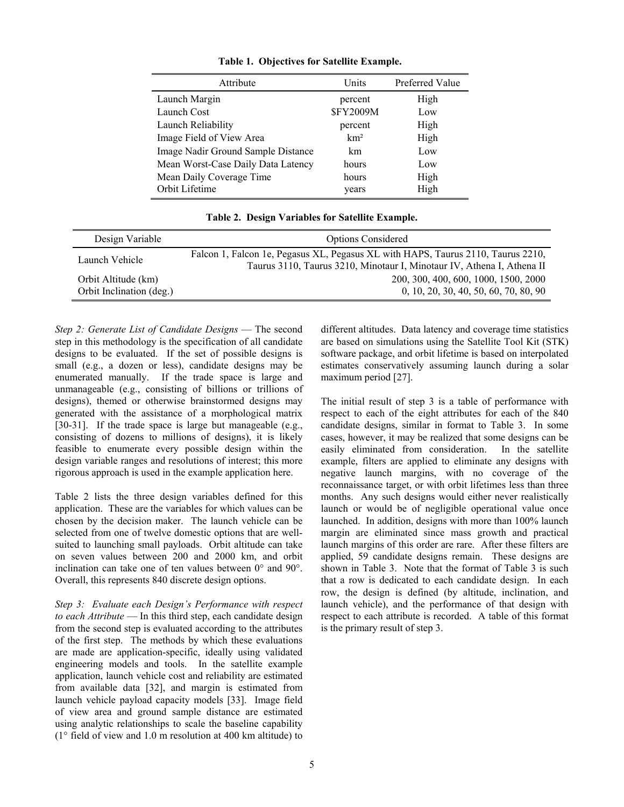| Attribute                          | Units            | Preferred Value |
|------------------------------------|------------------|-----------------|
| Launch Margin                      | percent          | High            |
| Launch Cost                        | <b>\$FY2009M</b> | Low             |
| Launch Reliability                 | percent          | High            |
| Image Field of View Area           | km <sup>2</sup>  | High            |
| Image Nadir Ground Sample Distance | km               | Low             |
| Mean Worst-Case Daily Data Latency | hours            | Low             |
| Mean Daily Coverage Time           | hours            | High            |
| Orbit Lifetime                     | years            | High            |

**Table 1. Objectives for Satellite Example.** 

**Table 2. Design Variables for Satellite Example.** 

| Design Variable                                 | <b>Options Considered</b>                                                                                                                                  |
|-------------------------------------------------|------------------------------------------------------------------------------------------------------------------------------------------------------------|
| Launch Vehicle                                  | Falcon 1, Falcon 1e, Pegasus XL, Pegasus XL with HAPS, Taurus 2110, Taurus 2210,<br>Taurus 3110, Taurus 3210, Minotaur I, Minotaur IV, Athena I, Athena II |
| Orbit Altitude (km)<br>Orbit Inclination (deg.) | 200, 300, 400, 600, 1000, 1500, 2000<br>0, 10, 20, 30, 40, 50, 60, 70, 80, 90                                                                              |

*Step 2: Generate List of Candidate Designs* — The second step in this methodology is the specification of all candidate designs to be evaluated. If the set of possible designs is small (e.g., a dozen or less), candidate designs may be enumerated manually. If the trade space is large and unmanageable (e.g., consisting of billions or trillions of designs), themed or otherwise brainstormed designs may generated with the assistance of a morphological matrix [30-31]. If the trade space is large but manageable (e.g., consisting of dozens to millions of designs), it is likely feasible to enumerate every possible design within the design variable ranges and resolutions of interest; this more rigorous approach is used in the example application here.

Table 2 lists the three design variables defined for this application. These are the variables for which values can be chosen by the decision maker. The launch vehicle can be selected from one of twelve domestic options that are wellsuited to launching small payloads. Orbit altitude can take on seven values between 200 and 2000 km, and orbit inclination can take one of ten values between 0° and 90°. Overall, this represents 840 discrete design options.

*Step 3: Evaluate each Design's Performance with respect to each Attribute* — In this third step, each candidate design from the second step is evaluated according to the attributes of the first step. The methods by which these evaluations are made are application-specific, ideally using validated engineering models and tools. In the satellite example application, launch vehicle cost and reliability are estimated from available data [32], and margin is estimated from launch vehicle payload capacity models [33]. Image field of view area and ground sample distance are estimated using analytic relationships to scale the baseline capability (1° field of view and 1.0 m resolution at 400 km altitude) to different altitudes. Data latency and coverage time statistics are based on simulations using the Satellite Tool Kit (STK) software package, and orbit lifetime is based on interpolated estimates conservatively assuming launch during a solar maximum period [27].

The initial result of step 3 is a table of performance with respect to each of the eight attributes for each of the 840 candidate designs, similar in format to Table 3. In some cases, however, it may be realized that some designs can be easily eliminated from consideration. In the satellite example, filters are applied to eliminate any designs with negative launch margins, with no coverage of the reconnaissance target, or with orbit lifetimes less than three months. Any such designs would either never realistically launch or would be of negligible operational value once launched. In addition, designs with more than 100% launch margin are eliminated since mass growth and practical launch margins of this order are rare. After these filters are applied, 59 candidate designs remain. These designs are shown in Table 3. Note that the format of Table 3 is such that a row is dedicated to each candidate design. In each row, the design is defined (by altitude, inclination, and launch vehicle), and the performance of that design with respect to each attribute is recorded. A table of this format is the primary result of step 3.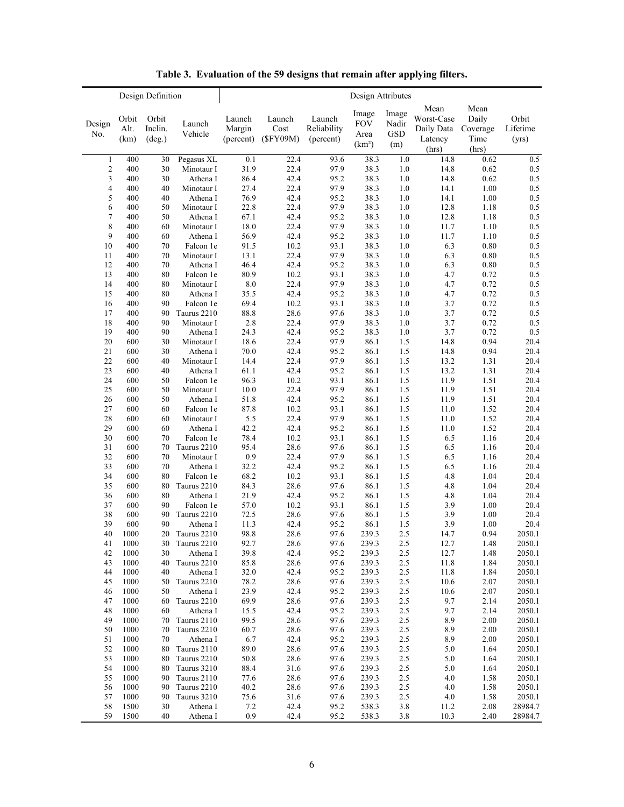|                         |                       | Design Definition          |                            | Design Attributes             |                            |                                    |                                                   |                              |                                                               |                                |                            |  |
|-------------------------|-----------------------|----------------------------|----------------------------|-------------------------------|----------------------------|------------------------------------|---------------------------------------------------|------------------------------|---------------------------------------------------------------|--------------------------------|----------------------------|--|
| Design<br>No.           | Orbit<br>Alt.<br>(km) | Orbit<br>Inclin.<br>(deg.) | Launch<br>Vehicle          | Launch<br>Margin<br>(percent) | Launch<br>Cost<br>(SFY09M) | Launch<br>Reliability<br>(percent) | Image<br><b>FOV</b><br>Area<br>(km <sup>2</sup> ) | Image<br>Nadir<br>GSD<br>(m) | Mean<br>Worst-Case<br>Daily Data Coverage<br>Latency<br>(hrs) | Mean<br>Daily<br>Time<br>(hrs) | Orbit<br>Lifetime<br>(yrs) |  |
| $\,1\,$                 | 400                   | 30                         | Pegasus XL                 | 0.1                           | 22.4                       | 93.6                               | 38.3                                              | $1.0\,$                      | 14.8                                                          | 0.62                           | 0.5                        |  |
| $\overline{\mathbf{c}}$ | 400                   | 30                         | Minotaur I                 | 31.9                          | 22.4                       | 97.9                               | 38.3                                              | 1.0                          | 14.8                                                          | 0.62                           | 0.5                        |  |
| 3                       | 400                   | 30                         | Athena I                   | 86.4                          | 42.4                       | 95.2                               | 38.3                                              | $1.0\,$                      | 14.8                                                          | 0.62                           | 0.5                        |  |
| $\overline{4}$          | 400                   | 40                         | Minotaur I                 | 27.4                          | 22.4                       | 97.9                               | 38.3                                              | 1.0                          | 14.1                                                          | 1.00                           | 0.5                        |  |
| 5                       | 400                   | 40                         | Athena I                   | 76.9                          | 42.4                       | 95.2                               | 38.3                                              | 1.0                          | 14.1                                                          | 1.00                           | $0.5\,$                    |  |
| 6                       | 400                   | 50                         | Minotaur I                 | 22.8                          | 22.4                       | 97.9                               | 38.3                                              | 1.0                          | 12.8                                                          | 1.18                           | 0.5                        |  |
| $\boldsymbol{7}$        | 400                   | 50                         | Athena I                   | 67.1                          | 42.4                       | 95.2                               | 38.3                                              | 1.0                          | 12.8                                                          | 1.18                           | 0.5                        |  |
| 8                       | 400                   | 60                         | Minotaur I                 | 18.0                          | 22.4                       | 97.9                               | 38.3                                              | 1.0                          | 11.7                                                          | 1.10                           | 0.5                        |  |
| 9                       | 400                   | 60                         | Athena I                   | 56.9                          | 42.4                       | 95.2                               | 38.3                                              | 1.0                          | 11.7                                                          | 1.10                           | 0.5                        |  |
| 10                      | 400                   | 70                         | Falcon 1e                  | 91.5                          | 10.2                       | 93.1                               | 38.3                                              | 1.0                          | 6.3                                                           | 0.80                           | 0.5                        |  |
| 11<br>12                | 400                   | 70<br>70                   | Minotaur I                 | 13.1                          | 22.4<br>42.4               | 97.9                               | 38.3                                              | 1.0                          | 6.3                                                           | 0.80                           | 0.5<br>0.5                 |  |
| 13                      | 400<br>400            | 80                         | Athena I<br>Falcon 1e      | 46.4<br>80.9                  | 10.2                       | 95.2<br>93.1                       | 38.3<br>38.3                                      | 1.0<br>1.0                   | 6.3<br>4.7                                                    | 0.80<br>0.72                   | 0.5                        |  |
| 14                      | 400                   | 80                         | Minotaur I                 | 8.0                           | 22.4                       | 97.9                               | 38.3                                              | 1.0                          | 4.7                                                           | 0.72                           | 0.5                        |  |
| 15                      | 400                   | 80                         | Athena I                   | 35.5                          | 42.4                       | 95.2                               | 38.3                                              | 1.0                          | 4.7                                                           | 0.72                           | 0.5                        |  |
| 16                      | 400                   | 90                         | Falcon 1e                  | 69.4                          | 10.2                       | 93.1                               | 38.3                                              | 1.0                          | 3.7                                                           | 0.72                           | 0.5                        |  |
| 17                      | 400                   | 90                         | Taurus 2210                | 88.8                          | 28.6                       | 97.6                               | 38.3                                              | 1.0                          | 3.7                                                           | 0.72                           | 0.5                        |  |
| 18                      | 400                   | 90                         | Minotaur I                 | 2.8                           | 22.4                       | 97.9                               | 38.3                                              | 1.0                          | 3.7                                                           | 0.72                           | 0.5                        |  |
| 19                      | 400                   | 90                         | Athena I                   | 24.3                          | 42.4                       | 95.2                               | 38.3                                              | 1.0                          | 3.7                                                           | 0.72                           | 0.5                        |  |
| 20                      | 600                   | 30                         | Minotaur I                 | 18.6                          | 22.4                       | 97.9                               | 86.1                                              | 1.5                          | 14.8                                                          | 0.94                           | 20.4                       |  |
| 21                      | 600                   | 30                         | Athena I                   | 70.0                          | 42.4                       | 95.2                               | 86.1                                              | 1.5                          | 14.8                                                          | 0.94                           | 20.4                       |  |
| 22                      | 600                   | 40                         | Minotaur I                 | 14.4                          | 22.4                       | 97.9                               | 86.1                                              | 1.5                          | 13.2                                                          | 1.31                           | 20.4                       |  |
| 23                      | 600                   | 40                         | Athena I                   | 61.1                          | 42.4                       | 95.2                               | 86.1                                              | 1.5                          | 13.2                                                          | 1.31                           | 20.4                       |  |
| 24                      | 600                   | 50                         | Falcon 1e                  | 96.3                          | 10.2                       | 93.1                               | 86.1                                              | 1.5                          | 11.9                                                          | 1.51                           | 20.4                       |  |
| 25                      | 600                   | 50                         | Minotaur I                 | 10.0                          | 22.4                       | 97.9                               | 86.1                                              | 1.5                          | 11.9                                                          | 1.51                           | 20.4                       |  |
| 26                      | 600                   | 50                         | Athena I                   | 51.8                          | 42.4                       | 95.2                               | 86.1                                              | 1.5                          | 11.9                                                          | 1.51                           | 20.4                       |  |
| 27                      | 600                   | 60                         | Falcon 1e                  | 87.8                          | 10.2                       | 93.1                               | 86.1                                              | 1.5                          | 11.0                                                          | 1.52                           | 20.4                       |  |
| 28                      | 600                   | 60                         | Minotaur I                 | 5.5                           | 22.4                       | 97.9                               | 86.1                                              | 1.5                          | 11.0                                                          | 1.52                           | 20.4                       |  |
| 29                      | 600                   | 60                         | Athena I                   | 42.2                          | 42.4                       | 95.2                               | 86.1                                              | 1.5                          | 11.0                                                          | 1.52                           | 20.4                       |  |
| 30                      | 600                   | 70                         | Falcon 1e                  | 78.4                          | 10.2                       | 93.1                               | 86.1                                              | 1.5                          | 6.5                                                           | 1.16                           | 20.4                       |  |
| 31                      | 600                   | 70                         | Taurus 2210                | 95.4                          | 28.6                       | 97.6                               | 86.1                                              | 1.5                          | 6.5                                                           | 1.16                           | 20.4                       |  |
| 32                      | 600                   | $70\,$                     | Minotaur I                 | $0.9\,$                       | 22.4                       | 97.9                               | 86.1                                              | 1.5                          | 6.5                                                           | 1.16                           | 20.4                       |  |
| 33                      | 600                   | 70                         | Athena I                   | 32.2                          | 42.4                       | 95.2                               | 86.1                                              | 1.5                          | 6.5                                                           | 1.16                           | 20.4                       |  |
| 34                      | 600                   | 80                         | Falcon 1e                  | 68.2                          | 10.2                       | 93.1                               | 86.1                                              | 1.5                          | 4.8                                                           | 1.04                           | 20.4                       |  |
| 35                      | 600                   | 80                         | Taurus 2210                | 84.3                          | 28.6                       | 97.6                               | 86.1                                              | 1.5                          | 4.8                                                           | 1.04                           | 20.4                       |  |
| 36                      | 600                   | 80                         | Athena I                   | 21.9                          | 42.4                       | 95.2                               | 86.1                                              | 1.5                          | 4.8                                                           | 1.04                           | 20.4                       |  |
| 37                      | 600                   | 90                         | Falcon 1e                  | 57.0                          | 10.2                       | 93.1                               | 86.1                                              | 1.5                          | 3.9                                                           | 1.00                           | 20.4                       |  |
| 38                      | 600                   | 90                         | Taurus 2210                | 72.5                          | 28.6                       | 97.6                               | 86.1                                              | 1.5                          | 3.9                                                           | 1.00                           | 20.4                       |  |
| 39                      | 600                   | 90                         | Athena I                   | 11.3                          | 42.4                       | 95.2                               | 86.1                                              | 1.5                          | 3.9                                                           | 1.00                           | 20.4                       |  |
| 40                      | 1000                  | 20                         | Taurus 2210                | 98.8                          | 28.6                       | 97.6                               | 239.3                                             | 2.5                          | 14.7                                                          | 0.94                           | 2050.1                     |  |
| 41                      | 1000                  |                            | 30 Taurus 2210             | 92.7                          | 28.6                       | 97.6                               | 239.3                                             | $2.5\,$                      | 12.7                                                          | 1.48                           | 2050.1<br>2050.1           |  |
| 42<br>43                | 1000<br>1000          | 30                         | Athena I<br>40 Taurus 2210 | 39.8<br>85.8                  | 42.4<br>28.6               | 95.2<br>97.6                       | 239.3<br>239.3                                    | 2.5<br>2.5                   | 12.7<br>11.8                                                  | 1.48<br>1.84                   | 2050.1                     |  |
| 44                      | 1000                  | 40                         | Athena I                   | 32.0                          | 42.4                       | 95.2                               | 239.3                                             | 2.5                          | 11.8                                                          | 1.84                           | 2050.1                     |  |
| 45                      | 1000                  |                            | 50 Taurus 2210             | 78.2                          | 28.6                       | 97.6                               | 239.3                                             | 2.5                          | 10.6                                                          | 2.07                           | 2050.1                     |  |
| 46                      | 1000                  | 50                         | Athena I                   | 23.9                          | 42.4                       | 95.2                               | 239.3                                             | 2.5                          | 10.6                                                          | 2.07                           | 2050.1                     |  |
| 47                      | 1000                  | 60                         | Taurus 2210                | 69.9                          | 28.6                       | 97.6                               | 239.3                                             | 2.5                          | 9.7                                                           | 2.14                           | 2050.1                     |  |
| 48                      | 1000                  | 60                         | Athena I                   | 15.5                          | 42.4                       | 95.2                               | 239.3                                             | 2.5                          | 9.7                                                           | 2.14                           | 2050.1                     |  |
| 49                      | 1000                  |                            | 70 Taurus 2110             | 99.5                          | 28.6                       | 97.6                               | 239.3                                             | 2.5                          | 8.9                                                           | 2.00                           | 2050.1                     |  |
| 50                      | 1000                  | 70                         | Taurus 2210                | 60.7                          | 28.6                       | 97.6                               | 239.3                                             | 2.5                          | 8.9                                                           | 2.00                           | 2050.1                     |  |
| 51                      | 1000                  | 70                         | Athena I                   | 6.7                           | 42.4                       | 95.2                               | 239.3                                             | 2.5                          | 8.9                                                           | 2.00                           | 2050.1                     |  |
| 52                      | 1000                  | 80                         | Taurus 2110                | 89.0                          | 28.6                       | 97.6                               | 239.3                                             | 2.5                          | 5.0                                                           | 1.64                           | 2050.1                     |  |
| 53                      | 1000                  | 80                         | Taurus 2210                | 50.8                          | 28.6                       | 97.6                               | 239.3                                             | 2.5                          | 5.0                                                           | 1.64                           | 2050.1                     |  |
| 54                      | 1000                  | 80                         | Taurus 3210                | 88.4                          | 31.6                       | 97.6                               | 239.3                                             | 2.5                          | 5.0                                                           | 1.64                           | 2050.1                     |  |
| 55                      | 1000                  |                            | 90 Taurus 2110             | 77.6                          | 28.6                       | 97.6                               | 239.3                                             | 2.5                          | 4.0                                                           | 1.58                           | 2050.1                     |  |
| 56                      | 1000                  | 90                         | Taurus 2210                | 40.2                          | 28.6                       | 97.6                               | 239.3                                             | 2.5                          | 4.0                                                           | 1.58                           | 2050.1                     |  |
| 57                      | 1000                  | 90                         | Taurus 3210                | 75.6                          | 31.6                       | 97.6                               | 239.3                                             | 2.5                          | 4.0                                                           | 1.58                           | 2050.1                     |  |
| 58                      | 1500                  | 30                         | Athena I                   | 7.2                           | 42.4                       | 95.2                               | 538.3                                             | 3.8                          | 11.2                                                          | 2.08                           | 28984.7                    |  |
| 59                      | 1500                  | 40                         | Athena I                   | 0.9                           | 42.4                       | 95.2                               | 538.3                                             | 3.8                          | 10.3                                                          | 2.40                           | 28984.7                    |  |

**Table 3. Evaluation of the 59 designs that remain after applying filters.**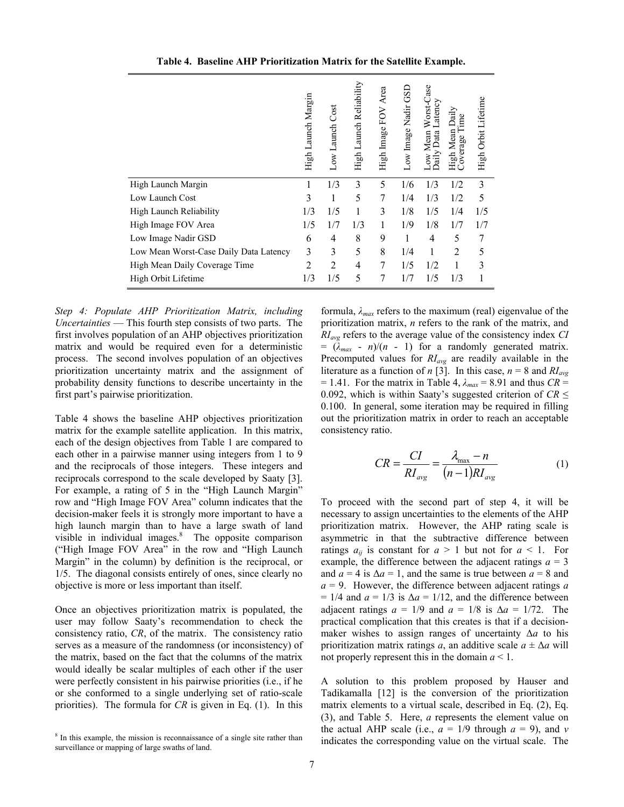|                                        | High Launch Margin | Low Launch Cost | High Launch Reliability | Area<br>High Image FOV | GSD<br>Low Image Nadir | Worst-Case<br>_atency<br>ow Mean<br>Data<br>Daily | Daily<br>ime<br>High Mean I<br>Coverage Tii | High Orbit Lifetime |
|----------------------------------------|--------------------|-----------------|-------------------------|------------------------|------------------------|---------------------------------------------------|---------------------------------------------|---------------------|
| High Launch Margin                     |                    | 1/3             | 3                       | 5                      | 1/6                    | 1/3                                               | 1/2                                         | 3                   |
| Low Launch Cost                        | 3                  | 1               | 5                       | 7                      | 1/4                    | 1/3                                               | 1/2                                         | 5                   |
| High Launch Reliability                | 1/3                | 1/5             |                         | 3                      | 1/8                    | 1/5                                               | 1/4                                         | 1/5                 |
| High Image FOV Area                    | 1/5                | 1/7             | 1/3                     | 1                      | 1/9                    | 1/8                                               | 1/7                                         | 1/7                 |
| Low Image Nadir GSD                    | 6                  | 4               | 8                       | 9                      | 1                      | $\overline{4}$                                    | 5                                           | 7                   |
| Low Mean Worst-Case Daily Data Latency | 3                  | 3               | 5                       | 8                      | 1/4                    | 1                                                 | $\overline{2}$                              | 5                   |
| High Mean Daily Coverage Time          | $\overline{2}$     | $\overline{2}$  | 4                       | 7                      | 1/5                    | 1/2                                               |                                             | 3                   |
| High Orbit Lifetime                    | 1/3                | 1/5             | 5                       | 7                      | 1/7                    | 1/5                                               | 1/3                                         |                     |

**Table 4. Baseline AHP Prioritization Matrix for the Satellite Example.** 

*Step 4: Populate AHP Prioritization Matrix, including Uncertainties* — This fourth step consists of two parts. The first involves population of an AHP objectives prioritization matrix and would be required even for a deterministic process. The second involves population of an objectives prioritization uncertainty matrix and the assignment of probability density functions to describe uncertainty in the first part's pairwise prioritization.

Table 4 shows the baseline AHP objectives prioritization matrix for the example satellite application. In this matrix, each of the design objectives from Table 1 are compared to each other in a pairwise manner using integers from 1 to 9 and the reciprocals of those integers. These integers and reciprocals correspond to the scale developed by Saaty [3]. For example, a rating of 5 in the "High Launch Margin" row and "High Image FOV Area" column indicates that the decision-maker feels it is strongly more important to have a high launch margin than to have a large swath of land visible in individual images. $8$  The opposite comparison ("High Image FOV Area" in the row and "High Launch Margin" in the column) by definition is the reciprocal, or 1/5. The diagonal consists entirely of ones, since clearly no objective is more or less important than itself.

Once an objectives prioritization matrix is populated, the user may follow Saaty's recommendation to check the consistency ratio, *CR*, of the matrix. The consistency ratio serves as a measure of the randomness (or inconsistency) of the matrix, based on the fact that the columns of the matrix would ideally be scalar multiples of each other if the user were perfectly consistent in his pairwise priorities (i.e., if he or she conformed to a single underlying set of ratio-scale priorities). The formula for *CR* is given in Eq. (1). In this

formula, *λmax* refers to the maximum (real) eigenvalue of the prioritization matrix, *n* refers to the rank of the matrix, and *RIavg* refers to the average value of the consistency index *CI*  $=$   $(\lambda_{max} - n)/(n - 1)$  for a randomly generated matrix. Precomputed values for *RIavg* are readily available in the literature as a function of *n* [3]. In this case,  $n = 8$  and  $RI_{avg}$  $= 1.41$ . For the matrix in Table 4,  $\lambda_{max} = 8.91$  and thus *CR* = 0.092, which is within Saaty's suggested criterion of *CR* ≤ 0.100. In general, some iteration may be required in filling out the prioritization matrix in order to reach an acceptable consistency ratio.

$$
CR = \frac{CI}{RI_{\text{avg}}} = \frac{\lambda_{\text{max}} - n}{(n-1)RI_{\text{avg}}}
$$
(1)

To proceed with the second part of step 4, it will be necessary to assign uncertainties to the elements of the AHP prioritization matrix. However, the AHP rating scale is asymmetric in that the subtractive difference between ratings  $a_{ii}$  is constant for  $a > 1$  but not for  $a < 1$ . For example, the difference between the adjacent ratings  $a = 3$ and  $a = 4$  is  $\Delta a = 1$ , and the same is true between  $a = 8$  and *a* = 9. However, the difference between adjacent ratings *a*  $= 1/4$  and  $a = 1/3$  is  $\Delta a = 1/12$ , and the difference between adjacent ratings  $a = 1/9$  and  $a = 1/8$  is  $\Delta a = 1/72$ . The practical complication that this creates is that if a decisionmaker wishes to assign ranges of uncertainty Δ*a* to his prioritization matrix ratings *a*, an additive scale  $a \pm \Delta a$  will not properly represent this in the domain *a* < 1.

A solution to this problem proposed by Hauser and Tadikamalla [12] is the conversion of the prioritization matrix elements to a virtual scale, described in Eq. (2), Eq. (3), and Table 5. Here, *a* represents the element value on the actual AHP scale (i.e.,  $a = 1/9$  through  $a = 9$ ), and *v* indicates the corresponding value on the virtual scale. The

<sup>&</sup>lt;sup>8</sup> In this example, the mission is reconnaissance of a single site rather than surveillance or mapping of large swaths of land.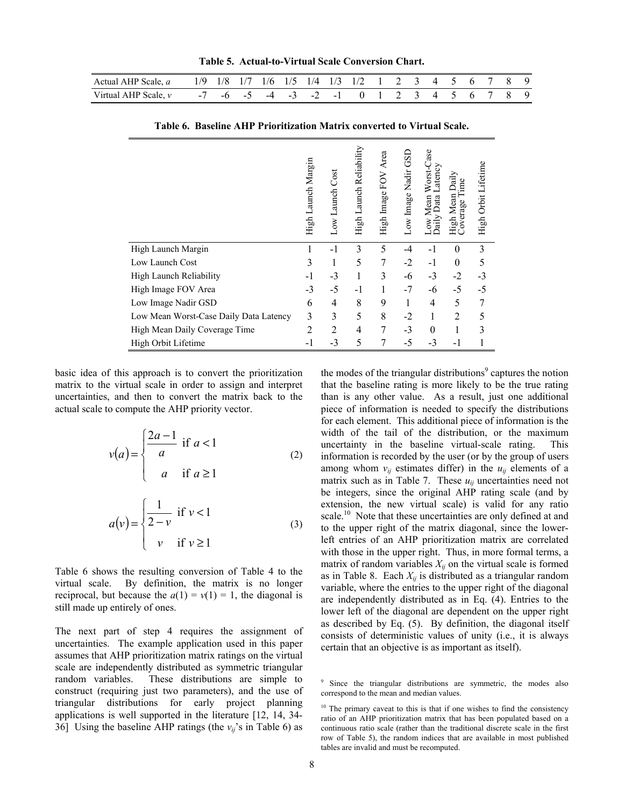**Table 5. Actual-to-Virtual Scale Conversion Chart.** 

| Actual AHP Scale, a 1/9 1/8 1/7 1/6 1/5 1/4 1/3 1/2 1 2 3 4 5 6 7 8 9 |  |  |  |  |  |  |  |  |  |
|-----------------------------------------------------------------------|--|--|--|--|--|--|--|--|--|
| Virtual AHP Scale, v -7 -6 -5 -4 -3 -2 -1 0 1 2 3 4 5 6 7 8 9         |  |  |  |  |  |  |  |  |  |

**Table 6. Baseline AHP Prioritization Matrix converted to Virtual Scale.** 

|                                        | High Launch Margin | Low Launch Cost | High Launch Reliability | Area<br>High Image FOV | Low Image Nadir GSD | Worst-Case<br>Latency<br>Jata<br>Mean<br>XOV<br>त्व | Daily<br>High Mean 1<br>Coverage Ti | High Orbit Lifetime |
|----------------------------------------|--------------------|-----------------|-------------------------|------------------------|---------------------|-----------------------------------------------------|-------------------------------------|---------------------|
| High Launch Margin                     |                    | - 1             | 3                       | 5                      | -4                  | $-1$                                                | $\theta$                            | 3                   |
| Low Launch Cost                        | 3                  | 1               | 5                       | 7                      | $-2$                | $-1$                                                | $\theta$                            | 5                   |
| High Launch Reliability                | -1                 | $-3$            | 1                       | 3                      | -6                  | $-3$                                                | $-2$                                | $-3$                |
| High Image FOV Area                    | $-3$               | $-5$            | $-1$                    | 1                      | $-7$                | -6                                                  | $-5$                                | $-5$                |
| Low Image Nadir GSD                    | 6                  | 4               | 8                       | 9                      |                     | $\overline{4}$                                      | 5                                   |                     |
| Low Mean Worst-Case Daily Data Latency | 3                  | 3               | 5                       | 8                      | $-2$                | 1                                                   | $\overline{2}$                      | 5                   |
| High Mean Daily Coverage Time          | 2                  | $\overline{2}$  | 4                       | 7                      | $-3$                | $\theta$                                            |                                     | 3                   |
| High Orbit Lifetime                    | -1                 | $-3$            | 5                       |                        | $-5$                | $-3$                                                | -1                                  |                     |

basic idea of this approach is to convert the prioritization matrix to the virtual scale in order to assign and interpret uncertainties, and then to convert the matrix back to the actual scale to compute the AHP priority vector.

$$
v(a) = \begin{cases} \frac{2a-1}{a} & \text{if } a < 1\\ a & \text{if } a \ge 1 \end{cases}
$$
 (2)

$$
a(v) = \begin{cases} \frac{1}{2-v} & \text{if } v < 1\\ v & \text{if } v \ge 1 \end{cases}
$$
 (3)

Table 6 shows the resulting conversion of Table 4 to the virtual scale. By definition, the matrix is no longer reciprocal, but because the  $a(1) = v(1) = 1$ , the diagonal is still made up entirely of ones.

The next part of step 4 requires the assignment of uncertainties. The example application used in this paper assumes that AHP prioritization matrix ratings on the virtual scale are independently distributed as symmetric triangular random variables. These distributions are simple to construct (requiring just two parameters), and the use of triangular distributions for early project planning applications is well supported in the literature [12, 14, 34- 36] Using the baseline AHP ratings (the  $v_{ij}$ 's in Table 6) as

the modes of the triangular distributions<sup>9</sup> captures the notion that the baseline rating is more likely to be the true rating than is any other value. As a result, just one additional piece of information is needed to specify the distributions for each element. This additional piece of information is the width of the tail of the distribution, or the maximum uncertainty in the baseline virtual-scale rating. This information is recorded by the user (or by the group of users among whom  $v_{ij}$  estimates differ) in the  $u_{ij}$  elements of a matrix such as in Table 7. These  $u_{ij}$  uncertainties need not be integers, since the original AHP rating scale (and by extension, the new virtual scale) is valid for any ratio scale.<sup>10</sup> Note that these uncertainties are only defined at and to the upper right of the matrix diagonal, since the lowerleft entries of an AHP prioritization matrix are correlated with those in the upper right. Thus, in more formal terms, a matrix of random variables  $X_{ii}$  on the virtual scale is formed as in Table 8. Each  $X_{ij}$  is distributed as a triangular random variable, where the entries to the upper right of the diagonal are independently distributed as in Eq. (4). Entries to the lower left of the diagonal are dependent on the upper right as described by Eq. (5). By definition, the diagonal itself consists of deterministic values of unity (i.e., it is always certain that an objective is as important as itself).

<sup>&</sup>lt;sup>9</sup> Since the triangular distributions are symmetric, the modes also correspond to the mean and median values.

 $10$  The primary caveat to this is that if one wishes to find the consistency ratio of an AHP prioritization matrix that has been populated based on a continuous ratio scale (rather than the traditional discrete scale in the first row of Table 5), the random indices that are available in most published tables are invalid and must be recomputed.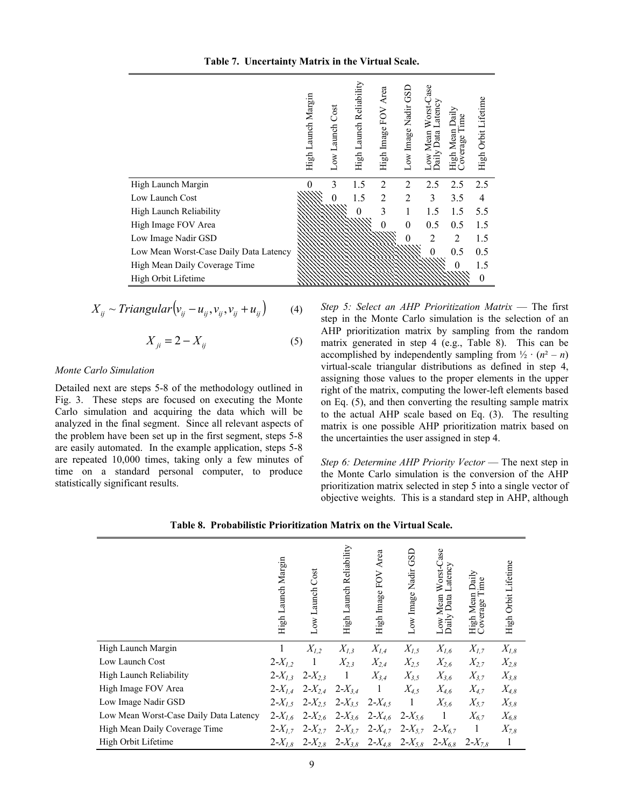| Table 7. Uncertainty Matrix in the Virtual Scale. |
|---------------------------------------------------|
|---------------------------------------------------|

|                                        | High Launch Margin | Low Launch Cost | High Launch Reliability | High Image FOV Area | GSI<br>Low Image Nadir | Worst-Case<br>Latency<br>Low Mean<br>Daily Data 1 | High Mean Daily<br>Coverage Time | High Orbit Lifetime |
|----------------------------------------|--------------------|-----------------|-------------------------|---------------------|------------------------|---------------------------------------------------|----------------------------------|---------------------|
| High Launch Margin                     |                    | 3               | 1.5                     | $\overline{2}$      | $\overline{2}$         | 2.5                                               | 2.5                              | 2.5                 |
| Low Launch Cost                        |                    |                 | 1.5                     | $\overline{2}$      | $\overline{2}$         | 3                                                 | 3.5                              | 4                   |
| High Launch Reliability                |                    |                 | 0                       | 3                   | 1                      | 1.5                                               | 1.5                              | 5.5                 |
| High Image FOV Area                    |                    |                 |                         |                     | $\Omega$               | 0.5                                               | 0.5                              | 1.5                 |
| Low Image Nadir GSD                    |                    |                 |                         |                     |                        | $\overline{2}$                                    | $\overline{2}$                   | 1.5                 |
| Low Mean Worst-Case Daily Data Latency |                    |                 |                         |                     |                        | $\theta$                                          | 0.5                              | 0.5                 |
| High Mean Daily Coverage Time          |                    |                 |                         |                     |                        |                                                   | 0                                | 1.5                 |
| High Orbit Lifetime                    |                    |                 |                         |                     |                        |                                                   |                                  | $\Omega$            |

$$
X_{ij} \sim Triangular\left(v_{ij} - u_{ij}, v_{ij}, v_{ij} + u_{ij}\right) \tag{4}
$$

$$
X_{ji} = 2 - X_{ij} \tag{5}
$$

#### *Monte Carlo Simulation*

Detailed next are steps 5-8 of the methodology outlined in Fig. 3. These steps are focused on executing the Monte Carlo simulation and acquiring the data which will be analyzed in the final segment. Since all relevant aspects of the problem have been set up in the first segment, steps 5-8 are easily automated. In the example application, steps 5-8 are repeated 10,000 times, taking only a few minutes of time on a standard personal computer, to produce statistically significant results.

*Step 5: Select an AHP Prioritization Matrix* — The first step in the Monte Carlo simulation is the selection of an AHP prioritization matrix by sampling from the random matrix generated in step 4 (e.g., Table 8). This can be accomplished by independently sampling from  $\frac{1}{2} \cdot (n^2 - n)$ virtual-scale triangular distributions as defined in step 4, assigning those values to the proper elements in the upper right of the matrix, computing the lower-left elements based on Eq. (5), and then converting the resulting sample matrix to the actual AHP scale based on Eq. (3). The resulting matrix is one possible AHP prioritization matrix based on the uncertainties the user assigned in step 4.

*Step 6: Determine AHP Priority Vector* — The next step in the Monte Carlo simulation is the conversion of the AHP prioritization matrix selected in step 5 into a single vector of objective weights. This is a standard step in AHP, although

| Table 8. Probabilistic Prioritization Matrix on the Virtual Scale. |
|--------------------------------------------------------------------|
|--------------------------------------------------------------------|

|                                        | High Launch Margin | Cost<br>Low Launch | High Launch Reliability | Area<br>FOV<br>High Image                                   | Nadir GSD<br>Low Image | Worst-Case<br>Latency<br>Data<br>Low Mean<br>Daily Data | High Mean Daily<br>Coverage Time | High Orbit Lifetime |
|----------------------------------------|--------------------|--------------------|-------------------------|-------------------------------------------------------------|------------------------|---------------------------------------------------------|----------------------------------|---------------------|
| High Launch Margin                     | 1                  | $X_{1,2}$          | $X_{I,3}$               | $X_{I,4}$                                                   | $X_{I,5}$              | $X_{I,6}$                                               | $X_{I,7}$                        | $X_{I,8}$           |
| Low Launch Cost                        | $2 - X_{1,2}$      | 1                  | $X_{2,3}$               | $X_{2,4}$                                                   | $X_{2,5}$              | $X_{2,6}$                                               | $X_{2,7}$                        | $X_{2,8}$           |
| High Launch Reliability                | $2 - X_{1,3}$      | $2 - X_{2,3}$      | -1                      | $X_{3,4}$                                                   | $X_{3,5}$              | $X_{3,6}$                                               | $X_{3,7}$                        | $X_{3,8}$           |
| High Image FOV Area                    | $2 - X_{I,4}$      | $2 - X_{2,4}$      | $2 - X_{3,4}$           | $\overline{1}$                                              | $X_{4,5}$              | $X_{4,6}$                                               | $X_{4,7}$                        | $X_{4,8}$           |
| Low Image Nadir GSD                    | $2 - X_{1.5}$      | $2 - X_{2,5}$      | $2-X_{3.5}$ $2-X_{4.5}$ |                                                             | $\overline{1}$         | $X_{5,6}$                                               | $X_{5.7}$                        | $X_{5,8}$           |
| Low Mean Worst-Case Daily Data Latency | $2 - X_{I,6}$      | $2 - X_{2,6}$      | $2 - X_{3,6}$           | $2 - X_{4,6}$                                               | $2 - X_{5,6}$          | $\vert$ 1                                               | $X_{6.7}$                        | $X_{6,8}$           |
| High Mean Daily Coverage Time          | $2 - X_{17}$       | $2 - X_{27}$       | $2 - X_{3.7}$           | $2 - X_{4,7}$                                               | $2 - X_{5,7}$          | $2 - X_{67}$                                            | - 1                              | $X_{7,8}$           |
| High Orbit Lifetime                    | $2 - X_{I,8}$      |                    |                         | $2-X_{2,8}$ $2-X_{3,8}$ $2-X_{4,8}$ $2-X_{5,8}$ $2-X_{6,8}$ |                        |                                                         | $2 - X_{7,8}$                    | $\mathbf{1}$        |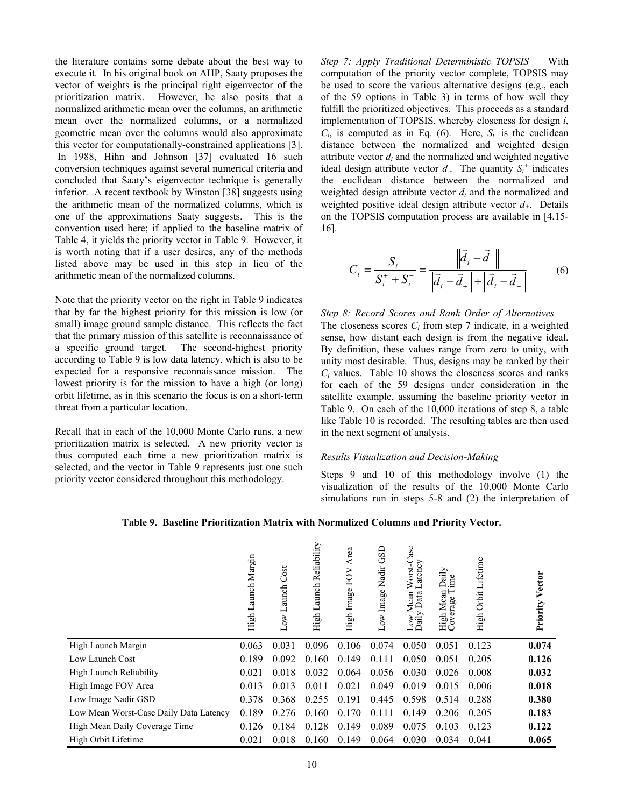the literature contains some debate about the best way to execute it. In his original book on AHP, Saaty proposes the vector of weights is the principal right eigenvector of the prioritization matrix. However, he also posits that a normalized arithmetic mean over the columns, an arithmetic mean over the normalized columns, or a normalized geometric mean over the columns would also approximate this vector for computationally-constrained applications [3]. In 1988, Hihn and Johnson [37] evaluated 16 such conversion techniques against several numerical criteria and concluded that Saaty's eigenvector technique is generally inferior. A recent textbook by Winston [38] suggests using the arithmetic mean of the normalized columns, which is one of the approximations Saaty suggests. This is the convention used here; if applied to the baseline matrix of Table 4, it yields the priority vector in Table 9. However, it is worth noting that if a user desires, any of the methods listed above may be used in this step in lieu of the arithmetic mean of the normalized columns.

Note that the priority vector on the right in Table 9 indicates that by far the highest priority for this mission is low (or small) image ground sample distance. This reflects the fact that the primary mission of this satellite is reconnaissance of a specific ground target. The second-highest priority according to Table 9 is low data latency, which is also to be expected for a responsive reconnaissance mission. The lowest priority is for the mission to have a high (or long) orbit lifetime, as in this scenario the focus is on a short-term threat from a particular location.

Recall that in each of the 10,000 Monte Carlo runs, a new prioritization matrix is selected. A new priority vector is thus computed each time a new prioritization matrix is selected, and the vector in Table 9 represents just one such priority vector considered throughout this methodology.

*Step 7: Apply Traditional Deterministic TOPSIS* — With computation of the priority vector complete, TOPSIS may be used to score the various alternative designs (e.g., each of the 59 options in Table 3) in terms of how well they fulfill the prioritized objectives. This proceeds as a standard implementation of TOPSIS, whereby closeness for design *i*,  $C_i$ , is computed as in Eq. (6). Here,  $S_i$  is the euclidean distance between the normalized and weighted design attribute vector  $d_i$  and the normalized and weighted negative ideal design attribute vector  $d$ . The quantity  $S_i^+$  indicates the euclidean distance between the normalized and weighted design attribute vector *di* and the normalized and weighted positive ideal design attribute vector *d+*. Details on the TOPSIS computation process are available in [4,15- 16].

$$
C_i = \frac{S_i^-}{S_i^+ + S_i^-} = \frac{\left\| \vec{d}_i - \vec{d}_- \right\|}{\left\| \vec{d}_i - \vec{d}_+ \right\| + \left\| \vec{d}_i - \vec{d}_- \right\|}
$$
(6)

*Step 8: Record Scores and Rank Order of Alternatives* — The closeness scores *Ci* from step 7 indicate, in a weighted sense, how distant each design is from the negative ideal. By definition, these values range from zero to unity, with unity most desirable. Thus, designs may be ranked by their *Ci* values. Table 10 shows the closeness scores and ranks for each of the 59 designs under consideration in the satellite example, assuming the baseline priority vector in Table 9. On each of the 10,000 iterations of step 8, a table like Table 10 is recorded. The resulting tables are then used in the next segment of analysis.

## *Results Visualization and Decision-Making*

Steps 9 and 10 of this methodology involve (1) the visualization of the results of the 10,000 Monte Carlo simulations run in steps 5-8 and (2) the interpretation of

|                                        | aunch Margin<br>High L | Cost<br>aunch<br>凵<br>Low. | High Launch Reliability | Area<br>High Image FOV | GSD<br>Low Image Nadir | ase<br>Worst-Ca<br>Latency<br>atency<br>Mean<br>Data<br>Low I<br>Daily | Daily<br>ime<br>High Mean<br>Coverage Ti<br>overage | Orbit Lifetime<br>High | Vector<br>Priority |
|----------------------------------------|------------------------|----------------------------|-------------------------|------------------------|------------------------|------------------------------------------------------------------------|-----------------------------------------------------|------------------------|--------------------|
| High Launch Margin                     | 0.063                  | 0.031                      | 0.096                   | 0.106                  | 0.074                  | 0.050                                                                  | 0.051                                               | 0.123                  | 0.074              |
| Low Launch Cost                        | 0.189                  | 0.092                      | 0.160                   | 0.149                  | 0.111                  | 0.050                                                                  | 0.051                                               | 0.205                  | 0.126              |
| High Launch Reliability                | 0.021                  | 0.018                      | 0.032                   | 0.064                  | 0.056                  | 0.030                                                                  | 0.026                                               | 0.008                  | 0.032              |
| High Image FOV Area                    | 0.013                  | 0.013                      | 0.011                   | 0.021                  | 0.049                  | 0.019                                                                  | 0.015                                               | 0.006                  | 0.018              |
| Low Image Nadir GSD                    | 0.378                  | 0.368                      | 0.255                   | 0.191                  | 0.445                  | 0.598                                                                  | 0.514                                               | 0.288                  | 0.380              |
| Low Mean Worst-Case Daily Data Latency | 0.189                  | 0.276                      | 0.160                   | 0.170                  | 0.111                  | 0.149                                                                  | 0.206                                               | 0.205                  | 0.183              |
| High Mean Daily Coverage Time          | 0.126                  | 0.184                      | 0.128                   | 0.149                  | 0.089                  | 0.075                                                                  | 0.103                                               | 0.123                  | 0.122              |
| High Orbit Lifetime                    | 0.021                  | 0.018                      | 0.160                   | 0.149                  | 0.064                  | 0.030                                                                  | 0.034                                               | 0.041                  | 0.065              |

**Table 9. Baseline Prioritization Matrix with Normalized Columns and Priority Vector.**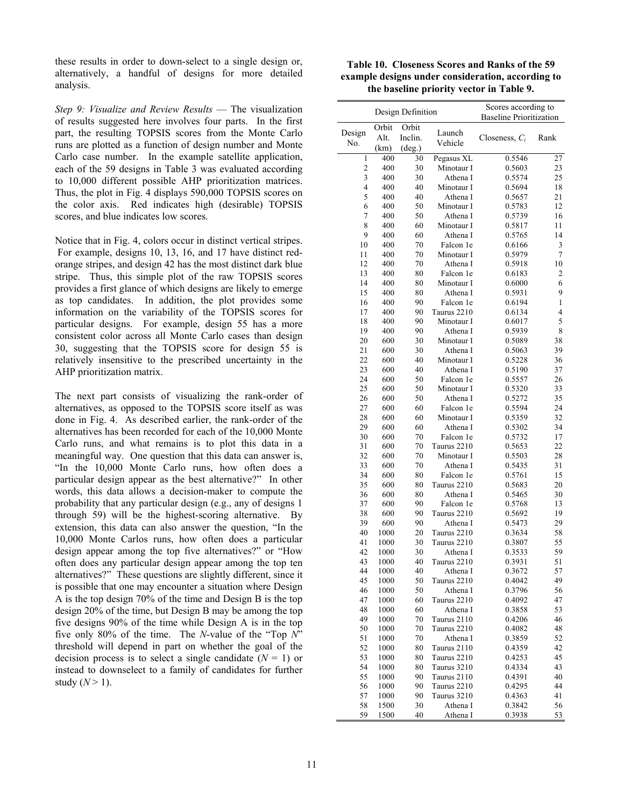these results in order to down-select to a single design or, alternatively, a handful of designs for more detailed analysis.

*Step 9: Visualize and Review Results* — The visualization of results suggested here involves four parts. In the first part, the resulting TOPSIS scores from the Monte Carlo runs are plotted as a function of design number and Monte Carlo case number. In the example satellite application, each of the 59 designs in Table 3 was evaluated according to 10,000 different possible AHP prioritization matrices. Thus, the plot in Fig. 4 displays 590,000 TOPSIS scores on the color axis. Red indicates high (desirable) TOPSIS scores, and blue indicates low scores.

Notice that in Fig. 4, colors occur in distinct vertical stripes. For example, designs 10, 13, 16, and 17 have distinct redorange stripes, and design 42 has the most distinct dark blue stripe. Thus, this simple plot of the raw TOPSIS scores provides a first glance of which designs are likely to emerge as top candidates. In addition, the plot provides some information on the variability of the TOPSIS scores for particular designs. For example, design 55 has a more consistent color across all Monte Carlo cases than design 30, suggesting that the TOPSIS score for design 55 is relatively insensitive to the prescribed uncertainty in the AHP prioritization matrix.

The next part consists of visualizing the rank-order of alternatives, as opposed to the TOPSIS score itself as was done in Fig. 4. As described earlier, the rank-order of the alternatives has been recorded for each of the 10,000 Monte Carlo runs, and what remains is to plot this data in a meaningful way. One question that this data can answer is, "In the 10,000 Monte Carlo runs, how often does a particular design appear as the best alternative?" In other words, this data allows a decision-maker to compute the probability that any particular design (e.g., any of designs 1 through 59) will be the highest-scoring alternative. By extension, this data can also answer the question, "In the 10,000 Monte Carlos runs, how often does a particular design appear among the top five alternatives?" or "How often does any particular design appear among the top ten alternatives?" These questions are slightly different, since it is possible that one may encounter a situation where Design A is the top design 70% of the time and Design B is the top design 20% of the time, but Design B may be among the top five designs 90% of the time while Design A is in the top five only 80% of the time. The *N*-value of the "Top *N*" threshold will depend in part on whether the goal of the decision process is to select a single candidate  $(N = 1)$  or instead to downselect to a family of candidates for further study  $(N > 1)$ .

| Table 10. Closeness Scores and Ranks of the 59    |
|---------------------------------------------------|
| example designs under consideration, according to |
| the baseline priority vector in Table 9.          |

| Design Definition |       |                 |                       | Scores according to            |         |  |  |
|-------------------|-------|-----------------|-----------------------|--------------------------------|---------|--|--|
|                   |       |                 |                       | <b>Baseline Prioritization</b> |         |  |  |
| Design            | Orbit | Orbit           | Launch                |                                |         |  |  |
| No.               | Alt.  | Inclin.         | Vehicle               | Closeness, $C_i$               | Rank    |  |  |
|                   | (km)  | $(\text{deg.})$ |                       |                                |         |  |  |
| 1                 | 400   | 30              | Pegasus XL            | 0.5546                         | 27      |  |  |
| $\overline{c}$    | 400   | 30              | Minotaur I            | 0.5603                         | 23      |  |  |
| 3                 | 400   | 30              | Athena I              | 0.5574                         | 25      |  |  |
| 4                 | 400   | 40              | Minotaur I            | 0.5694                         | 18      |  |  |
| 5                 | 400   | 40              | Athena I              | 0.5657                         | 21      |  |  |
| 6                 | 400   | 50              | Minotaur I            | 0.5783                         | 12      |  |  |
| 7                 | 400   | 50              | Athena I              | 0.5739                         | 16      |  |  |
| 8                 | 400   | 60              | Minotaur I            | 0.5817                         | 11      |  |  |
| 9                 | 400   | 60              | Athena I              | 0.5765                         | 14      |  |  |
| 10                | 400   | 70              | Falcon 1e             | 0.6166                         | 3       |  |  |
| 11                | 400   | 70              | Minotaur I            | 0.5979                         | 7       |  |  |
| 12                | 400   | 70              | Athena I<br>0.5918    |                                | 10<br>2 |  |  |
| 13                | 400   | 80              |                       | Falcon 1e<br>0.6183            |         |  |  |
| 14                | 400   | 80              | Minotaur I            | 0.6000                         | 6       |  |  |
| 15                | 400   | 80              | Athena I              | 0.5931                         | 9       |  |  |
| 16                | 400   | 90              | Falcon 1e             | 0.6194                         | 1       |  |  |
| 17                | 400   | 90              | Taurus 2210           | 0.6134                         | 4       |  |  |
| 18                | 400   | 90              | Minotaur I            | 0.6017                         | 5       |  |  |
| 19                | 400   | 90              | Athena I              | 0.5939                         | 8       |  |  |
| 20                | 600   | 30              | Minotaur I            | 0.5089                         | 38      |  |  |
| 21                | 600   | 30              | Athena I              | 0.5063                         | 39      |  |  |
| 22                | 600   | 40              | Minotaur I            | 0.5228                         | 36      |  |  |
| 23                | 600   | 40              | Athena I              | 0.5190                         | 37      |  |  |
| 24                | 600   | 50              | Falcon 1e             | 0.5557                         | 26      |  |  |
| 25                | 600   | 50              | Minotaur I            | 0.5320                         | 33      |  |  |
| 26                | 600   | 50              | Athena I              | 0.5272                         | 35      |  |  |
| 27                | 600   | 60              | Falcon 1e             | 0.5594                         | 24      |  |  |
| 28                | 600   | 60              | Minotaur I            | 0.5359                         | 32      |  |  |
| 29                | 600   | 60              | Athena I              | 0.5302                         | 34      |  |  |
| 30                | 600   | 70              | Falcon 1e             | 0.5732                         | 17      |  |  |
| 31                | 600   | 70              | Taurus 2210           | 0.5653                         | 22      |  |  |
| 32                | 600   | 70              | Minotaur I            | 0.5503                         | 28      |  |  |
| 33                | 600   | 70              | Athena I              | 0.5435                         | 31      |  |  |
| 34                | 600   | 80              | Falcon 1e             | 0.5761                         | 15      |  |  |
| 35                | 600   | 80              | Taurus 2210           | 0.5683                         | 20      |  |  |
| 36                | 600   | 80              | Athena I              | 0.5465                         | 30      |  |  |
| 37                | 600   | 90              | Falcon 1e             | 0.5768                         | 13      |  |  |
| 38                | 600   | 90              | Taurus 2210           | 0.5692                         | 19      |  |  |
| 39                | 600   | 90              | Athena I              | 0.5473                         | 29      |  |  |
| 40                | 1000  | 20              | Taurus 2210           | 0.3634                         | 58      |  |  |
| 41                | 1000  | 30              | Taurus 2210           | 0.3807                         | 55      |  |  |
| 42                | 1000  | 30              | Athena I              | 0.3533                         | 59      |  |  |
| 43                | 1000  | 40              | Taurus 2210           | 0.3931                         | 51      |  |  |
| 44                | 1000  | 40              | Athena I              | 0.3672                         | 57      |  |  |
| 45                | 1000  | 50              | Taurus 2210           | 0.4042                         | 49      |  |  |
| 46                | 1000  | 50              | Athena I              | 0.3796                         | 56      |  |  |
| 47                | 1000  | 60              | Taurus 2210           | 0.4092                         | 47      |  |  |
| 48                | 1000  | 60              | Athena I              | 0.3858                         | 53      |  |  |
| 49                | 1000  | 70              | Taurus 2110           | 0.4206                         | 46      |  |  |
| 50                | 1000  | $70\,$          | Taurus 2210           | 0.4082                         | 48      |  |  |
| 51                | 1000  | 70              | Athena I              | 0.3859                         | 52      |  |  |
| 52                | 1000  | 80              | Taurus 2110<br>0.4359 |                                | 42      |  |  |
| 53                | 1000  | 80              | Taurus 2210<br>0.4253 |                                | 45      |  |  |
| 54                | 1000  | 80              | Taurus 3210<br>0.4334 |                                | 43      |  |  |
| 55                | 1000  | 90              | Taurus 2110<br>0.4391 |                                | 40      |  |  |
| 56                | 1000  | 90              | Taurus 2210<br>0.4295 |                                | 44      |  |  |
| 57                | 1000  | 90              | Taurus 3210           | 0.4363                         | 41      |  |  |
| 58                | 1500  | 30              | Athena I              | 0.3842                         | 56      |  |  |
| 59                | 1500  | 40              | Athena I              | 0.3938                         | 53      |  |  |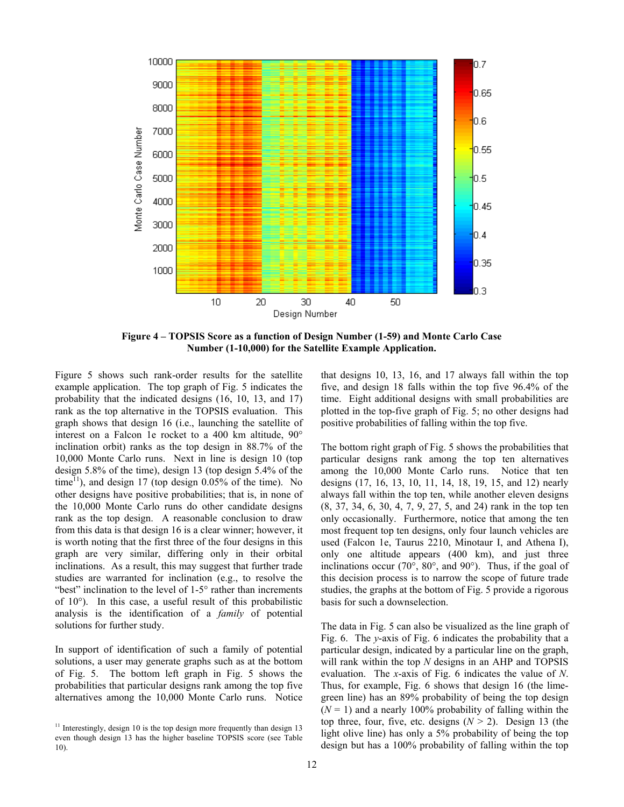

**Figure 4 – TOPSIS Score as a function of Design Number (1-59) and Monte Carlo Case Number (1-10,000) for the Satellite Example Application.** 

Figure 5 shows such rank-order results for the satellite example application. The top graph of Fig. 5 indicates the probability that the indicated designs (16, 10, 13, and 17) rank as the top alternative in the TOPSIS evaluation. This graph shows that design 16 (i.e., launching the satellite of interest on a Falcon 1e rocket to a 400 km altitude, 90° inclination orbit) ranks as the top design in 88.7% of the 10,000 Monte Carlo runs. Next in line is design 10 (top design 5.8% of the time), design 13 (top design 5.4% of the time<sup>11</sup>), and design 17 (top design  $0.05\%$  of the time). No other designs have positive probabilities; that is, in none of the 10,000 Monte Carlo runs do other candidate designs rank as the top design. A reasonable conclusion to draw from this data is that design 16 is a clear winner; however, it is worth noting that the first three of the four designs in this graph are very similar, differing only in their orbital inclinations. As a result, this may suggest that further trade studies are warranted for inclination (e.g., to resolve the "best" inclination to the level of 1-5° rather than increments of 10°). In this case, a useful result of this probabilistic analysis is the identification of a *family* of potential solutions for further study.

In support of identification of such a family of potential solutions, a user may generate graphs such as at the bottom of Fig. 5. The bottom left graph in Fig. 5 shows the probabilities that particular designs rank among the top five alternatives among the 10,000 Monte Carlo runs. Notice that designs 10, 13, 16, and 17 always fall within the top five, and design 18 falls within the top five 96.4% of the time. Eight additional designs with small probabilities are plotted in the top-five graph of Fig. 5; no other designs had positive probabilities of falling within the top five.

The bottom right graph of Fig. 5 shows the probabilities that particular designs rank among the top ten alternatives among the 10,000 Monte Carlo runs. Notice that ten designs (17, 16, 13, 10, 11, 14, 18, 19, 15, and 12) nearly always fall within the top ten, while another eleven designs (8, 37, 34, 6, 30, 4, 7, 9, 27, 5, and 24) rank in the top ten only occasionally. Furthermore, notice that among the ten most frequent top ten designs, only four launch vehicles are used (Falcon 1e, Taurus 2210, Minotaur I, and Athena I), only one altitude appears (400 km), and just three inclinations occur (70°, 80°, and 90°). Thus, if the goal of this decision process is to narrow the scope of future trade studies, the graphs at the bottom of Fig. 5 provide a rigorous basis for such a downselection.

The data in Fig. 5 can also be visualized as the line graph of Fig. 6. The *y*-axis of Fig. 6 indicates the probability that a particular design, indicated by a particular line on the graph, will rank within the top *N* designs in an AHP and TOPSIS evaluation. The *x*-axis of Fig. 6 indicates the value of *N*. Thus, for example, Fig. 6 shows that design 16 (the limegreen line) has an 89% probability of being the top design  $(N = 1)$  and a nearly 100% probability of falling within the top three, four, five, etc. designs (*N* > 2). Design 13 (the light olive line) has only a 5% probability of being the top design but has a 100% probability of falling within the top

 $11$  Interestingly, design 10 is the top design more frequently than design 13 even though design 13 has the higher baseline TOPSIS score (see Table 10).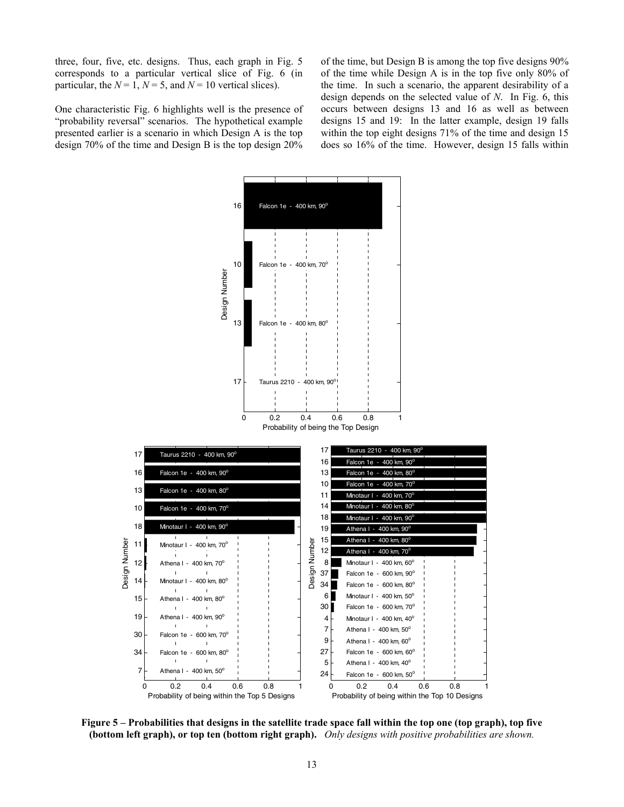three, four, five, etc. designs. Thus, each graph in Fig. 5 corresponds to a particular vertical slice of Fig. 6 (in particular, the  $N = 1$ ,  $N = 5$ , and  $N = 10$  vertical slices).

One characteristic Fig. 6 highlights well is the presence of "probability reversal" scenarios. The hypothetical example presented earlier is a scenario in which Design A is the top design 70% of the time and Design B is the top design 20%

of the time, but Design B is among the top five designs 90% of the time while Design A is in the top five only 80% of the time. In such a scenario, the apparent desirability of a design depends on the selected value of *N*. In Fig. 6, this occurs between designs 13 and 16 as well as between designs 15 and 19: In the latter example, design 19 falls within the top eight designs 71% of the time and design 15 does so 16% of the time. However, design 15 falls within



**Figure 5 – Probabilities that designs in the satellite trade space fall within the top one (top graph), top five (bottom left graph), or top ten (bottom right graph).** *Only designs with positive probabilities are shown.*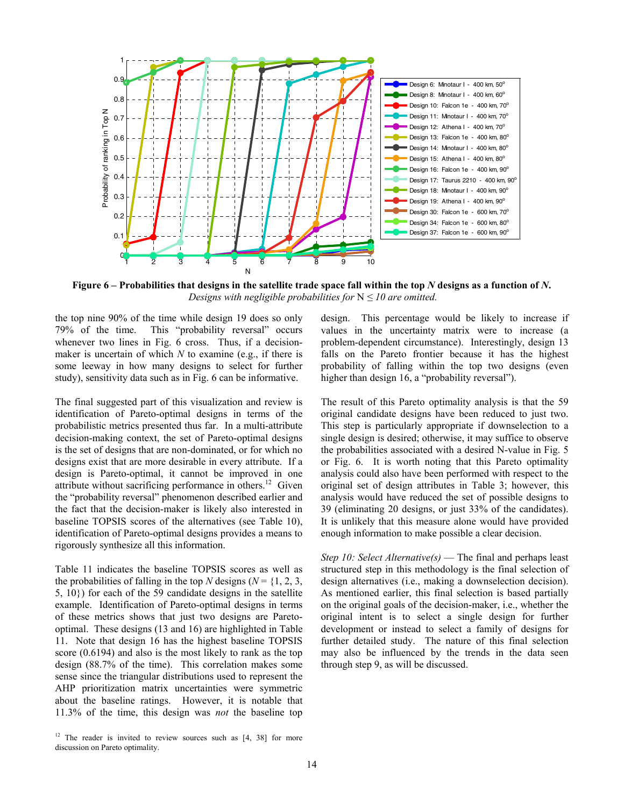

**Figure 6 – Probabilities that designs in the satellite trade space fall within the top** *N* **designs as a function of** *N***.**  *Designs with negligible probabilities for*  $N \leq 10$  are omitted.

the top nine 90% of the time while design 19 does so only 79% of the time. This "probability reversal" occurs whenever two lines in Fig. 6 cross. Thus, if a decisionmaker is uncertain of which *N* to examine (e.g., if there is some leeway in how many designs to select for further study), sensitivity data such as in Fig. 6 can be informative.

The final suggested part of this visualization and review is identification of Pareto-optimal designs in terms of the probabilistic metrics presented thus far. In a multi-attribute decision-making context, the set of Pareto-optimal designs is the set of designs that are non-dominated, or for which no designs exist that are more desirable in every attribute. If a design is Pareto-optimal, it cannot be improved in one attribute without sacrificing performance in others.<sup>12</sup> Given the "probability reversal" phenomenon described earlier and the fact that the decision-maker is likely also interested in baseline TOPSIS scores of the alternatives (see Table 10), identification of Pareto-optimal designs provides a means to rigorously synthesize all this information.

Table 11 indicates the baseline TOPSIS scores as well as the probabilities of falling in the top *N* designs ( $N = \{1, 2, 3, \ldots\}$ 5, 10}) for each of the 59 candidate designs in the satellite example. Identification of Pareto-optimal designs in terms of these metrics shows that just two designs are Paretooptimal. These designs (13 and 16) are highlighted in Table 11. Note that design 16 has the highest baseline TOPSIS score (0.6194) and also is the most likely to rank as the top design (88.7% of the time). This correlation makes some sense since the triangular distributions used to represent the AHP prioritization matrix uncertainties were symmetric about the baseline ratings. However, it is notable that 11.3% of the time, this design was *not* the baseline top design. This percentage would be likely to increase if values in the uncertainty matrix were to increase (a problem-dependent circumstance). Interestingly, design 13 falls on the Pareto frontier because it has the highest probability of falling within the top two designs (even higher than design 16, a "probability reversal").

The result of this Pareto optimality analysis is that the 59 original candidate designs have been reduced to just two. This step is particularly appropriate if downselection to a single design is desired; otherwise, it may suffice to observe the probabilities associated with a desired N-value in Fig. 5 or Fig. 6. It is worth noting that this Pareto optimality analysis could also have been performed with respect to the original set of design attributes in Table 3; however, this analysis would have reduced the set of possible designs to 39 (eliminating 20 designs, or just 33% of the candidates). It is unlikely that this measure alone would have provided enough information to make possible a clear decision.

*Step 10: Select Alternative(s)* — The final and perhaps least structured step in this methodology is the final selection of design alternatives (i.e., making a downselection decision). As mentioned earlier, this final selection is based partially on the original goals of the decision-maker, i.e., whether the original intent is to select a single design for further development or instead to select a family of designs for further detailed study. The nature of this final selection may also be influenced by the trends in the data seen through step 9, as will be discussed.

 $12$  The reader is invited to review sources such as  $[4, 38]$  for more discussion on Pareto optimality.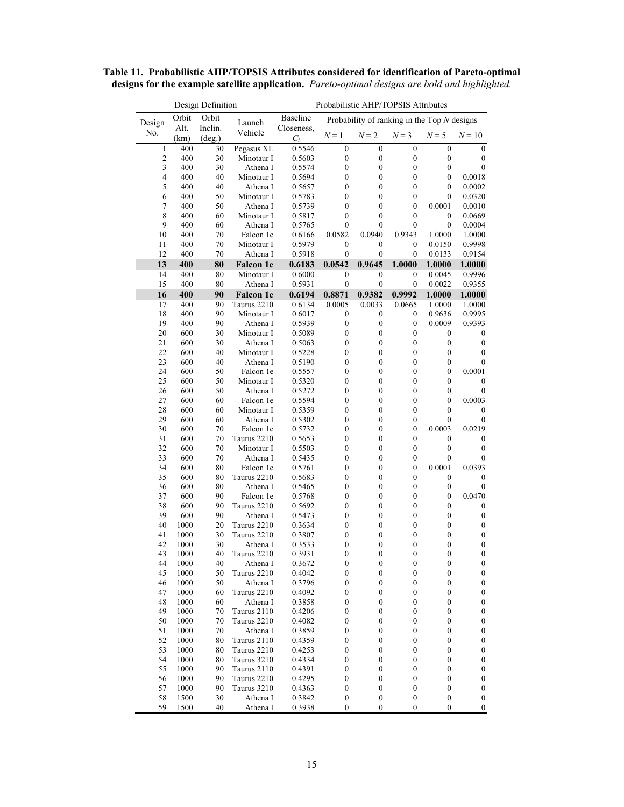| Design Definition |              |                            |                            | Probabilistic AHP/TOPSIS Attributes |                                      |                                               |                                      |                                      |                                      |
|-------------------|--------------|----------------------------|----------------------------|-------------------------------------|--------------------------------------|-----------------------------------------------|--------------------------------------|--------------------------------------|--------------------------------------|
| Design            | Orbit        | Orbit                      | Launch                     | Baseline                            |                                      | Probability of ranking in the Top $N$ designs |                                      |                                      |                                      |
| No.               | Alt.<br>(km) | Inclin.<br>$(\text{deg.})$ | Vehicle                    | Closeness.<br>$C_i$                 | $N=1$                                | $N=2$                                         | $N=3$                                | $N = 5$                              | $N=10$                               |
| 1                 | 400          | 30                         | Pegasus XL                 | 0.5546                              | $\mathbf{0}$                         | $\boldsymbol{0}$                              | $\mathbf{0}$                         | $\boldsymbol{0}$                     | $\mathbf{0}$                         |
| $\overline{c}$    | 400          | 30                         | Minotaur I                 | 0.5603                              | $\boldsymbol{0}$                     | $\boldsymbol{0}$                              | $\boldsymbol{0}$                     | $\boldsymbol{0}$                     | $\boldsymbol{0}$                     |
| 3<br>4            | 400<br>400   | 30<br>40                   | Athena I<br>Minotaur I     | 0.5574<br>0.5694                    | $\boldsymbol{0}$<br>$\boldsymbol{0}$ | $\boldsymbol{0}$<br>$\boldsymbol{0}$          | $\boldsymbol{0}$<br>$\mathbf{0}$     | $\boldsymbol{0}$<br>$\boldsymbol{0}$ | $\mathbf{0}$<br>0.0018               |
| 5                 | 400          | 40                         | Athena I                   | 0.5657                              | $\boldsymbol{0}$                     | $\boldsymbol{0}$                              | $\boldsymbol{0}$                     | $\boldsymbol{0}$                     | 0.0002                               |
| 6                 | 400          | 50                         | Minotaur I                 | 0.5783                              | $\boldsymbol{0}$                     | $\boldsymbol{0}$                              | $\boldsymbol{0}$                     | $\boldsymbol{0}$                     | 0.0320                               |
| 7                 | 400          | 50                         | Athena I                   | 0.5739                              | $\boldsymbol{0}$                     | $\boldsymbol{0}$                              | $\boldsymbol{0}$                     | 0.0001                               | 0.0010                               |
| 8                 | 400          | 60                         | Minotaur I                 | 0.5817                              | $\boldsymbol{0}$                     | $\mathbf{0}$                                  | $\mathbf{0}$                         | $\boldsymbol{0}$                     | 0.0669                               |
| 9                 | 400          | 60                         | Athena I                   | 0.5765                              | $\mathbf{0}$                         | 0                                             | $\mathbf{0}$                         | $\mathbf{0}$                         | 0.0004                               |
| 10                | 400          | 70                         | Falcon 1e                  | 0.6166                              | 0.0582                               | 0.0940                                        | 0.9343                               | 1.0000                               | 1.0000                               |
| 11<br>12          | 400<br>400   | 70<br>70                   | Minotaur I<br>Athena I     | 0.5979<br>0.5918                    | $\boldsymbol{0}$<br>$\boldsymbol{0}$ | $\boldsymbol{0}$<br>$\boldsymbol{0}$          | $\boldsymbol{0}$<br>$\boldsymbol{0}$ | 0.0150<br>0.0133                     | 0.9998<br>0.9154                     |
| 13                | 400          | 80                         | <b>Falcon</b> 1e           | 0.6183                              | 0.0542                               | 0.9645                                        | 1.0000                               | 1.0000                               | 1.0000                               |
| 14                | 400          | 80                         | Minotaur I                 | 0.6000                              | $\boldsymbol{0}$                     | $\boldsymbol{0}$                              | $\boldsymbol{0}$                     | 0.0045                               | 0.9996                               |
| 15                | 400          | 80                         | Athena I                   | 0.5931                              | $\boldsymbol{0}$                     | $\boldsymbol{0}$                              | $\mathbf{0}$                         | 0.0022                               | 0.9355                               |
| 16                | 400          | 90                         | <b>Falcon</b> 1e           | 0.6194                              | 0.8871                               | 0.9382                                        | 0.9992                               | 1.0000                               | 1.0000                               |
| 17                | 400          | 90                         | Taurus 2210                | 0.6134                              | 0.0005                               | 0.0033                                        | 0.0665                               | 1.0000                               | 1.0000                               |
| 18                | 400          | 90                         | Minotaur I                 | 0.6017                              | $\boldsymbol{0}$                     | $\boldsymbol{0}$                              | $\boldsymbol{0}$                     | 0.9636                               | 0.9995                               |
| 19                | 400          | 90                         | Athena I                   | 0.5939                              | $\boldsymbol{0}$                     | $\boldsymbol{0}$                              | $\boldsymbol{0}$                     | 0.0009                               | 0.9393                               |
| 20                | 600          | 30                         | Minotaur I                 | 0.5089                              | $\boldsymbol{0}$                     | $\boldsymbol{0}$                              | $\boldsymbol{0}$                     | $\boldsymbol{0}$                     | $\boldsymbol{0}$                     |
| 21<br>22          | 600<br>600   | 30<br>40                   | Athena I<br>Minotaur I     | 0.5063<br>0.5228                    | $\boldsymbol{0}$<br>$\boldsymbol{0}$ | $\boldsymbol{0}$<br>$\boldsymbol{0}$          | $\boldsymbol{0}$<br>$\boldsymbol{0}$ | $\boldsymbol{0}$<br>$\boldsymbol{0}$ | $\boldsymbol{0}$<br>$\boldsymbol{0}$ |
| 23                | 600          | 40                         | Athena I                   | 0.5190                              | $\boldsymbol{0}$                     | $\boldsymbol{0}$                              | $\boldsymbol{0}$                     | $\boldsymbol{0}$                     | $\boldsymbol{0}$                     |
| 24                | 600          | 50                         | Falcon 1e                  | 0.5557                              | $\boldsymbol{0}$                     | $\boldsymbol{0}$                              | $\boldsymbol{0}$                     | $\boldsymbol{0}$                     | 0.0001                               |
| 25                | 600          | 50                         | Minotaur I                 | 0.5320                              | $\boldsymbol{0}$                     | $\boldsymbol{0}$                              | $\boldsymbol{0}$                     | $\boldsymbol{0}$                     | $\mathbf{0}$                         |
| 26                | 600          | 50                         | Athena I                   | 0.5272                              | $\boldsymbol{0}$                     | $\boldsymbol{0}$                              | $\boldsymbol{0}$                     | $\boldsymbol{0}$                     | $\boldsymbol{0}$                     |
| 27                | 600          | 60                         | Falcon 1e                  | 0.5594                              | $\boldsymbol{0}$                     | $\boldsymbol{0}$                              | $\boldsymbol{0}$                     | $\boldsymbol{0}$                     | 0.0003                               |
| 28                | 600          | 60                         | Minotaur I                 | 0.5359                              | $\boldsymbol{0}$                     | $\boldsymbol{0}$                              | $\boldsymbol{0}$                     | $\boldsymbol{0}$                     | $\boldsymbol{0}$                     |
| 29<br>30          | 600<br>600   | 60<br>70                   | Athena I<br>Falcon 1e      | 0.5302<br>0.5732                    | $\boldsymbol{0}$<br>$\boldsymbol{0}$ | $\boldsymbol{0}$<br>$\boldsymbol{0}$          | $\boldsymbol{0}$<br>$\boldsymbol{0}$ | $\boldsymbol{0}$<br>0.0003           | $\boldsymbol{0}$<br>0.0219           |
| 31                | 600          | 70                         | Taurus 2210                | 0.5653                              | $\boldsymbol{0}$                     | $\boldsymbol{0}$                              | $\boldsymbol{0}$                     | $\boldsymbol{0}$                     | $\theta$                             |
| 32                | 600          | 70                         | Minotaur I                 | 0.5503                              | $\boldsymbol{0}$                     | $\boldsymbol{0}$                              | $\boldsymbol{0}$                     | $\boldsymbol{0}$                     | $\boldsymbol{0}$                     |
| 33                | 600          | 70                         | Athena I                   | 0.5435                              | $\boldsymbol{0}$                     | $\boldsymbol{0}$                              | $\boldsymbol{0}$                     | $\boldsymbol{0}$                     | $\boldsymbol{0}$                     |
| 34                | 600          | 80                         | Falcon 1e                  | 0.5761                              | $\boldsymbol{0}$                     | $\boldsymbol{0}$                              | $\boldsymbol{0}$                     | 0.0001                               | 0.0393                               |
| 35                | 600          | 80                         | Taurus 2210                | 0.5683                              | $\boldsymbol{0}$                     | $\boldsymbol{0}$                              | $\boldsymbol{0}$                     | $\boldsymbol{0}$                     | $\boldsymbol{0}$                     |
| 36                | 600          | 80                         | Athena I                   | 0.5465                              | $\boldsymbol{0}$                     | $\boldsymbol{0}$                              | $\boldsymbol{0}$                     | $\boldsymbol{0}$                     | $\boldsymbol{0}$                     |
| 37<br>38          | 600<br>600   | 90<br>90                   | Falcon 1e<br>Taurus 2210   | 0.5768<br>0.5692                    | $\boldsymbol{0}$<br>$\boldsymbol{0}$ | $\boldsymbol{0}$<br>$\boldsymbol{0}$          | $\boldsymbol{0}$<br>$\boldsymbol{0}$ | $\boldsymbol{0}$<br>$\boldsymbol{0}$ | 0.0470<br>$\boldsymbol{0}$           |
| 39                | 600          | 90                         | Athena I                   | 0.5473                              | $\boldsymbol{0}$                     | $\boldsymbol{0}$                              | $\boldsymbol{0}$                     | $\boldsymbol{0}$                     | $\boldsymbol{0}$                     |
| 40                | 1000         | 20                         | Taurus 2210                | 0.3634                              | $\boldsymbol{0}$                     | $\boldsymbol{0}$                              | $\boldsymbol{0}$                     | $\boldsymbol{0}$                     | $\boldsymbol{0}$                     |
| 41                | 1000         | 30                         | Taurus 2210                | 0.3807                              | $\boldsymbol{0}$                     | $\boldsymbol{0}$                              | $\boldsymbol{0}$                     | $\boldsymbol{0}$                     | $\boldsymbol{0}$                     |
| 42                | 1000         | 30                         | Athena I                   | 0.3533                              | $\boldsymbol{0}$                     | $\boldsymbol{0}$                              | $\boldsymbol{0}$                     | $\boldsymbol{0}$                     | $\boldsymbol{0}$                     |
| 43                | 1000         | 40                         | Taurus 2210                | 0.3931                              | $\bf{0}$                             | $\boldsymbol{0}$                              | $\boldsymbol{0}$                     | $\bf{0}$                             | $\bf{0}$                             |
| 44                | 1000         | 40                         | Athena I                   | 0.3672                              | $\boldsymbol{0}$                     | $\boldsymbol{0}$                              | $\boldsymbol{0}$                     | $\boldsymbol{0}$                     | $\boldsymbol{0}$                     |
| 45<br>46          | 1000<br>1000 | 50<br>50                   | Taurus 2210<br>Athena I    | 0.4042<br>0.3796                    | $\boldsymbol{0}$<br>$\boldsymbol{0}$ | $\boldsymbol{0}$<br>$\boldsymbol{0}$          | 0<br>$\boldsymbol{0}$                | $\boldsymbol{0}$<br>$\boldsymbol{0}$ | $\boldsymbol{0}$<br>$\boldsymbol{0}$ |
| 47                | 1000         | 60                         | Taurus 2210                | 0.4092                              | $\boldsymbol{0}$                     | $\boldsymbol{0}$                              | $\boldsymbol{0}$                     | $\boldsymbol{0}$                     | $\boldsymbol{0}$                     |
| 48                | 1000         | 60                         | Athena I                   | 0.3858                              | $\boldsymbol{0}$                     | $\boldsymbol{0}$                              | 0                                    | $\boldsymbol{0}$                     | $\boldsymbol{0}$                     |
| 49                | 1000         | 70                         | Taurus 2110                | 0.4206                              | $\boldsymbol{0}$                     | $\boldsymbol{0}$                              | $\boldsymbol{0}$                     | $\boldsymbol{0}$                     | $\boldsymbol{0}$                     |
| 50                | 1000         | 70                         | Taurus 2210                | 0.4082                              | $\boldsymbol{0}$                     | $\boldsymbol{0}$                              | $\boldsymbol{0}$                     | $\boldsymbol{0}$                     | $\boldsymbol{0}$                     |
| 51                | 1000         | 70                         | Athena I                   | 0.3859                              | $\boldsymbol{0}$                     | $\boldsymbol{0}$                              | $\boldsymbol{0}$                     | $\boldsymbol{0}$                     | $\boldsymbol{0}$                     |
| 52                | 1000         | 80                         | Taurus 2110                | 0.4359                              | $\boldsymbol{0}$                     | $\boldsymbol{0}$                              | $\boldsymbol{0}$                     | $\boldsymbol{0}$                     | $\boldsymbol{0}$                     |
| 53<br>54          | 1000<br>1000 | 80<br>80                   | Taurus 2210<br>Taurus 3210 | 0.4253<br>0.4334                    | 0<br>$\boldsymbol{0}$                | $\boldsymbol{0}$<br>$\boldsymbol{0}$          | 0<br>$\boldsymbol{0}$                | $\boldsymbol{0}$<br>$\boldsymbol{0}$ | $\boldsymbol{0}$<br>$\boldsymbol{0}$ |
| 55                | 1000         | 90                         | Taurus 2110                | 0.4391                              | $\boldsymbol{0}$                     | $\boldsymbol{0}$                              | $\boldsymbol{0}$                     | $\boldsymbol{0}$                     | $\boldsymbol{0}$                     |
| 56                | 1000         | 90                         | Taurus 2210                | 0.4295                              | $\boldsymbol{0}$                     | $\boldsymbol{0}$                              | $\boldsymbol{0}$                     | $\boldsymbol{0}$                     | $\boldsymbol{0}$                     |
| 57                | 1000         | 90                         | Taurus 3210                | 0.4363                              | $\boldsymbol{0}$                     | $\boldsymbol{0}$                              | $\boldsymbol{0}$                     | $\boldsymbol{0}$                     | $\boldsymbol{0}$                     |
| 58                | 1500         | 30                         | Athena I                   | 0.3842                              | $\boldsymbol{0}$                     | $\boldsymbol{0}$                              | $\boldsymbol{0}$                     | $\boldsymbol{0}$                     | $\boldsymbol{0}$                     |
| 59                | 1500         | 40                         | Athena I                   | 0.3938                              | $\boldsymbol{0}$                     | $\boldsymbol{0}$                              | $\boldsymbol{0}$                     | $\boldsymbol{0}$                     | $\boldsymbol{0}$                     |

**Table 11. Probabilistic AHP/TOPSIS Attributes considered for identification of Pareto-optimal designs for the example satellite application.** *Pareto-optimal designs are bold and highlighted.*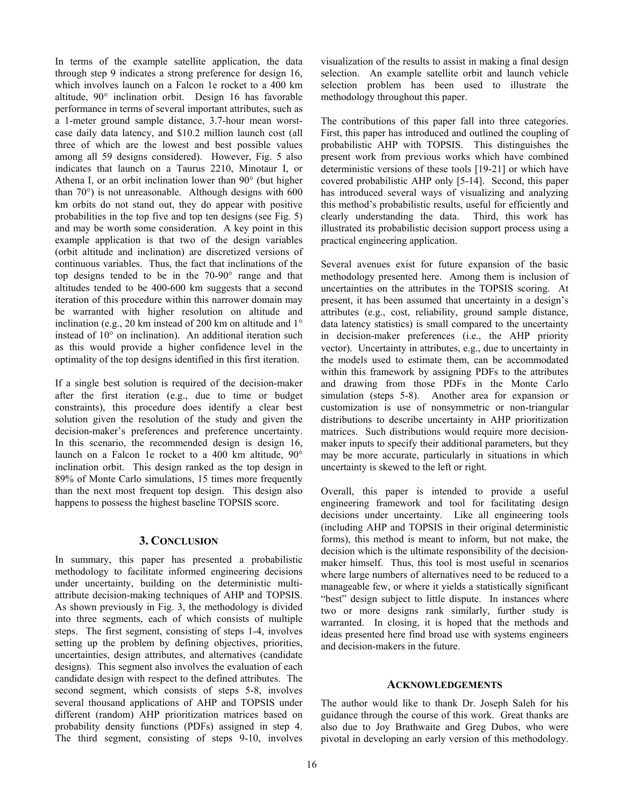In terms of the example satellite application, the data through step 9 indicates a strong preference for design 16, which involves launch on a Falcon 1e rocket to a 400 km altitude, 90° inclination orbit. Design 16 has favorable performance in terms of several important attributes, such as a 1-meter ground sample distance, 3.7-hour mean worstcase daily data latency, and \$10.2 million launch cost (all three of which are the lowest and best possible values among all 59 designs considered). However, Fig. 5 also indicates that launch on a Taurus 2210, Minotaur I, or Athena I, or an orbit inclination lower than 90° (but higher than 70°) is not unreasonable. Although designs with 600 km orbits do not stand out, they do appear with positive probabilities in the top five and top ten designs (see Fig. 5) and may be worth some consideration. A key point in this example application is that two of the design variables (orbit altitude and inclination) are discretized versions of continuous variables. Thus, the fact that inclinations of the top designs tended to be in the 70-90° range and that altitudes tended to be 400-600 km suggests that a second iteration of this procedure within this narrower domain may be warranted with higher resolution on altitude and inclination (e.g., 20 km instead of 200 km on altitude and 1° instead of 10° on inclination). An additional iteration such as this would provide a higher confidence level in the optimality of the top designs identified in this first iteration.

If a single best solution is required of the decision-maker after the first iteration (e.g., due to time or budget constraints), this procedure does identify a clear best solution given the resolution of the study and given the decision-maker's preferences and preference uncertainty. In this scenario, the recommended design is design 16, launch on a Falcon 1e rocket to a 400 km altitude, 90° inclination orbit. This design ranked as the top design in 89% of Monte Carlo simulations, 15 times more frequently than the next most frequent top design. This design also happens to possess the highest baseline TOPSIS score.

## **3. CONCLUSION**

In summary, this paper has presented a probabilistic methodology to facilitate informed engineering decisions under uncertainty, building on the deterministic multiattribute decision-making techniques of AHP and TOPSIS. As shown previously in Fig. 3, the methodology is divided into three segments, each of which consists of multiple steps. The first segment, consisting of steps 1-4, involves setting up the problem by defining objectives, priorities, uncertainties, design attributes, and alternatives (candidate designs). This segment also involves the evaluation of each candidate design with respect to the defined attributes. The second segment, which consists of steps 5-8, involves several thousand applications of AHP and TOPSIS under different (random) AHP prioritization matrices based on probability density functions (PDFs) assigned in step 4. The third segment, consisting of steps 9-10, involves

visualization of the results to assist in making a final design selection. An example satellite orbit and launch vehicle selection problem has been used to illustrate the methodology throughout this paper.

The contributions of this paper fall into three categories. First, this paper has introduced and outlined the coupling of probabilistic AHP with TOPSIS. This distinguishes the present work from previous works which have combined deterministic versions of these tools [19-21] or which have covered probabilistic AHP only [5-14]. Second, this paper has introduced several ways of visualizing and analyzing this method's probabilistic results, useful for efficiently and clearly understanding the data. Third, this work has illustrated its probabilistic decision support process using a practical engineering application.

Several avenues exist for future expansion of the basic methodology presented here. Among them is inclusion of uncertainties on the attributes in the TOPSIS scoring. At present, it has been assumed that uncertainty in a design's attributes (e.g., cost, reliability, ground sample distance, data latency statistics) is small compared to the uncertainty in decision-maker preferences (i.e., the AHP priority vector). Uncertainty in attributes, e.g., due to uncertainty in the models used to estimate them, can be accommodated within this framework by assigning PDFs to the attributes and drawing from those PDFs in the Monte Carlo simulation (steps 5-8). Another area for expansion or customization is use of nonsymmetric or non-triangular distributions to describe uncertainty in AHP prioritization matrices. Such distributions would require more decisionmaker inputs to specify their additional parameters, but they may be more accurate, particularly in situations in which uncertainty is skewed to the left or right.

Overall, this paper is intended to provide a useful engineering framework and tool for facilitating design decisions under uncertainty. Like all engineering tools (including AHP and TOPSIS in their original deterministic forms), this method is meant to inform, but not make, the decision which is the ultimate responsibility of the decisionmaker himself. Thus, this tool is most useful in scenarios where large numbers of alternatives need to be reduced to a manageable few, or where it yields a statistically significant "best" design subject to little dispute. In instances where two or more designs rank similarly, further study is warranted. In closing, it is hoped that the methods and ideas presented here find broad use with systems engineers and decision-makers in the future.

## **ACKNOWLEDGEMENTS**

The author would like to thank Dr. Joseph Saleh for his guidance through the course of this work. Great thanks are also due to Joy Brathwaite and Greg Dubos, who were pivotal in developing an early version of this methodology.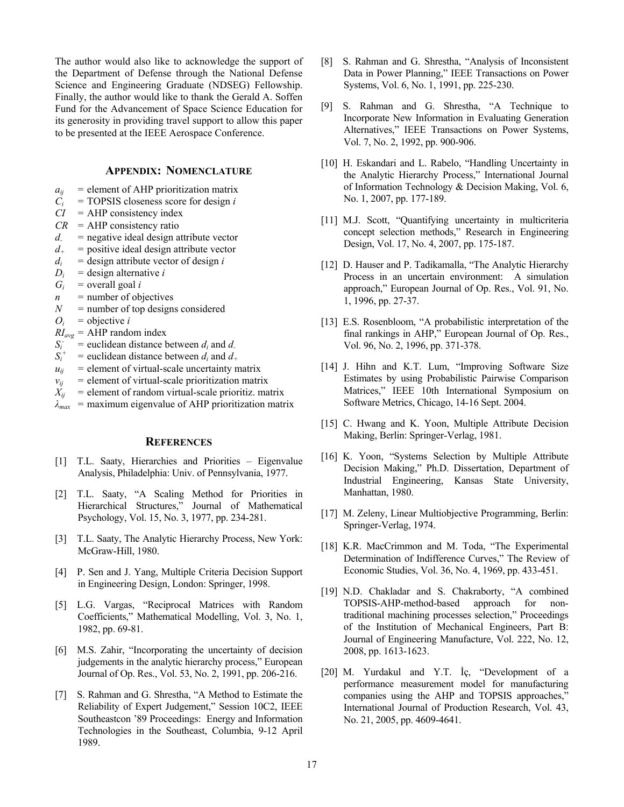The author would also like to acknowledge the support of the Department of Defense through the National Defense Science and Engineering Graduate (NDSEG) Fellowship. Finally, the author would like to thank the Gerald A. Soffen Fund for the Advancement of Space Science Education for its generosity in providing travel support to allow this paper to be presented at the IEEE Aerospace Conference.

# **APPENDIX: NOMENCLATURE**

- $a_{ii}$  = element of AHP prioritization matrix
- $\hat{C}_i$  = TOPSIS closeness score for design *i*
- *CI* = AHP consistency index
- *CR* = AHP consistency ratio
- *d-* = negative ideal design attribute vector
- $d_{+}$  = positive ideal design attribute vector
- $d_i$  = design attribute vector of design *i*
- $D_i$  = design alternative *i*
- $G_i$  = overall goal *i*
- $n =$  number of objectives
- $N =$  number of top designs considered
- $O_i$  = objective *i*
- $RI_{avg}$  = AHP random index
- *Si -* = euclidean distance between *di* and *d-*
- $S_i^+$  $=$  euclidean distance between  $d_i$  and  $d_+$
- $u_{ii}$  = element of virtual-scale uncertainty matrix
- $v_{ij}$  = element of virtual-scale prioritization matrix
- $X_{ij}$  = element of random virtual-scale prioritiz. matrix
- $\lambda_{max}$  = maximum eigenvalue of AHP prioritization matrix

# **REFERENCES**

- [1] T.L. Saaty, Hierarchies and Priorities Eigenvalue Analysis, Philadelphia: Univ. of Pennsylvania, 1977.
- [2] T.L. Saaty, "A Scaling Method for Priorities in Hierarchical Structures," Journal of Mathematical Psychology, Vol. 15, No. 3, 1977, pp. 234-281.
- [3] T.L. Saaty, The Analytic Hierarchy Process, New York: McGraw-Hill, 1980.
- [4] P. Sen and J. Yang, Multiple Criteria Decision Support in Engineering Design, London: Springer, 1998.
- [5] L.G. Vargas, "Reciprocal Matrices with Random Coefficients," Mathematical Modelling, Vol. 3, No. 1, 1982, pp. 69-81.
- [6] M.S. Zahir, "Incorporating the uncertainty of decision judgements in the analytic hierarchy process," European Journal of Op. Res., Vol. 53, No. 2, 1991, pp. 206-216.
- [7] S. Rahman and G. Shrestha, "A Method to Estimate the Reliability of Expert Judgement," Session 10C2, IEEE Southeastcon '89 Proceedings: Energy and Information Technologies in the Southeast, Columbia, 9-12 April 1989.
- [8] S. Rahman and G. Shrestha, "Analysis of Inconsistent Data in Power Planning," IEEE Transactions on Power Systems, Vol. 6, No. 1, 1991, pp. 225-230.
- [9] S. Rahman and G. Shrestha, "A Technique to Incorporate New Information in Evaluating Generation Alternatives," IEEE Transactions on Power Systems, Vol. 7, No. 2, 1992, pp. 900-906.
- [10] H. Eskandari and L. Rabelo, "Handling Uncertainty in the Analytic Hierarchy Process," International Journal of Information Technology & Decision Making, Vol. 6, No. 1, 2007, pp. 177-189.
- [11] M.J. Scott, "Quantifying uncertainty in multicriteria concept selection methods," Research in Engineering Design, Vol. 17, No. 4, 2007, pp. 175-187.
- [12] D. Hauser and P. Tadikamalla, "The Analytic Hierarchy Process in an uncertain environment: A simulation approach," European Journal of Op. Res., Vol. 91, No. 1, 1996, pp. 27-37.
- [13] E.S. Rosenbloom, "A probabilistic interpretation of the final rankings in AHP," European Journal of Op. Res., Vol. 96, No. 2, 1996, pp. 371-378.
- [14] J. Hihn and K.T. Lum, "Improving Software Size Estimates by using Probabilistic Pairwise Comparison Matrices," IEEE 10th International Symposium on Software Metrics, Chicago, 14-16 Sept. 2004.
- [15] C. Hwang and K. Yoon, Multiple Attribute Decision Making, Berlin: Springer-Verlag, 1981.
- [16] K. Yoon, "Systems Selection by Multiple Attribute Decision Making," Ph.D. Dissertation, Department of Industrial Engineering, Kansas State University, Manhattan, 1980.
- [17] M. Zeleny, Linear Multiobjective Programming, Berlin: Springer-Verlag, 1974.
- [18] K.R. MacCrimmon and M. Toda, "The Experimental Determination of Indifference Curves," The Review of Economic Studies, Vol. 36, No. 4, 1969, pp. 433-451.
- [19] N.D. Chakladar and S. Chakraborty, "A combined TOPSIS-AHP-method-based approach for nontraditional machining processes selection," Proceedings of the Institution of Mechanical Engineers, Part B: Journal of Engineering Manufacture, Vol. 222, No. 12, 2008, pp. 1613-1623.
- [20] M. Yurdakul and Y.T. İç, "Development of a performance measurement model for manufacturing companies using the AHP and TOPSIS approaches," International Journal of Production Research, Vol. 43, No. 21, 2005, pp. 4609-4641.